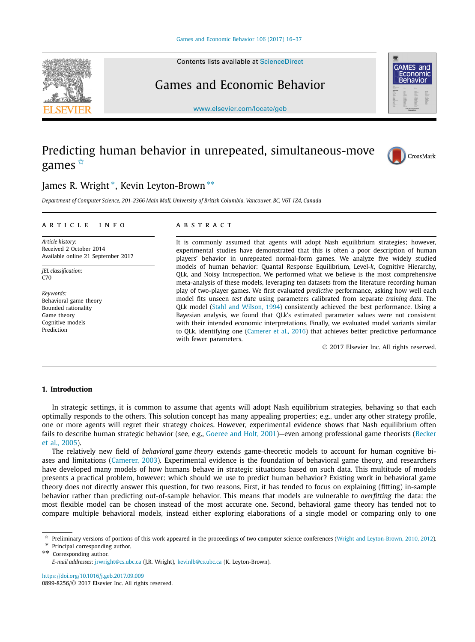Contents lists available at [ScienceDirect](http://www.ScienceDirect.com/)

# Games and Economic Behavior

[www.elsevier.com/locate/geb](http://www.elsevier.com/locate/geb)

# Predicting human behavior in unrepeated, simultaneous-move games ✩

## James R. Wright <sup>∗</sup>, Kevin Leyton-Brown ∗∗

Department of Computer Science, 201-2366 Main Mall, University of British Columbia, Vancouver, BC, V6T 1Z4, Canada

#### A R T I C L E I N F O A B S T R A C T

*Article history:* Received 2 October 2014 Available online 21 September 2017

*JEL classification:* C<sub>70</sub>

*Keywords:* Behavioral game theory Bounded rationality Game theory Cognitive models Prediction

It is commonly assumed that agents will adopt Nash equilibrium strategies; however, experimental studies have demonstrated that this is often a poor description of human players' behavior in unrepeated normal-form games. We analyze five widely studied models of human behavior: Quantal Response Equilibrium, Level-*k*, Cognitive Hierarchy, QLk, and Noisy Introspection. We performed what we believe is the most comprehensive meta-analysis of these models, leveraging ten datasets from the literature recording human play of two-player games. We first evaluated *predictive* performance, asking how well each model fits unseen *test data* using parameters calibrated from separate *training data*. The QLk model (Stahl and [Wilson,](#page-21-0) 1994) consistently achieved the best performance. Using a Bayesian analysis, we found that QLk's estimated parameter values were not consistent with their intended economic interpretations. Finally, we evaluated model variants similar to QLk, identifying one [\(Camerer](#page-21-0) et al., 2016) that achieves better predictive performance with fewer parameters.

© 2017 Elsevier Inc. All rights reserved.

#### **1. Introduction**

In strategic settings, it is common to assume that agents will adopt Nash equilibrium strategies, behaving so that each optimally responds to the others. This solution concept has many appealing properties; e.g., under any other strategy profile, one or more agents will regret their strategy choices. However, experimental evidence shows that Nash equilibrium often fails to describe human strategic behavior (see, e.g., [Goeree](#page-21-0) and Holt, 2001)—even among professional game theorists [\(Becker](#page-20-0) et al., [2005\)](#page-20-0).

The relatively new field of *behavioral game theory* extends game-theoretic models to account for human cognitive biases and limitations [\(Camerer,](#page-20-0) 2003). Experimental evidence is the foundation of behavioral game theory, and researchers have developed many models of how humans behave in strategic situations based on such data. This multitude of models presents a practical problem, however: which should we use to predict human behavior? Existing work in behavioral game theory does not directly answer this question, for two reasons. First, it has tended to focus on explaining (fitting) in-sample behavior rather than predicting out-of-sample behavior. This means that models are vulnerable to *overfitting* the data: the most flexible model can be chosen instead of the most accurate one. Second, behavioral game theory has tended not to compare multiple behavioral models, instead either exploring elaborations of a single model or comparing only to one

Principal corresponding author.

Corresponding author.

<https://doi.org/10.1016/j.geb.2017.09.009> 0899-8256/© 2017 Elsevier Inc. All rights reserved.





CrossMark

Preliminary versions of portions of this work appeared in the proceedings of two computer science conferences (Wright and [Leyton-Brown,](#page-21-0) 2010, 2012).

*E-mail addresses:* [jrwright@cs.ubc.ca](mailto:jrwright@cs.ubc.ca) (J.R. Wright), [kevinlb@cs.ubc.ca](mailto:kevinlb@cs.ubc.ca) (K. Leyton-Brown).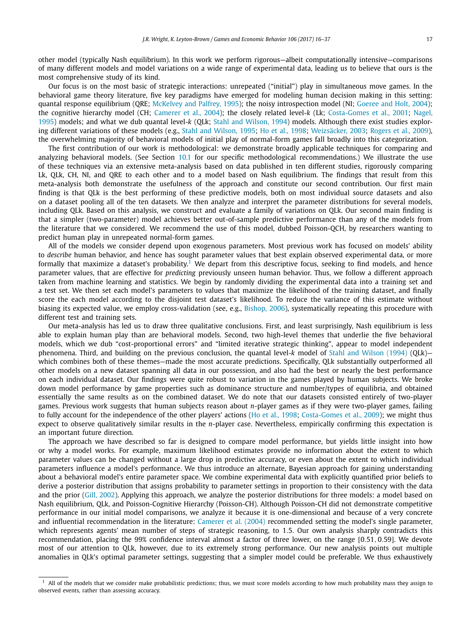other model (typically Nash equilibrium). In this work we perform rigorous—albeit computationally intensive—comparisons of many different models and model variations on a wide range of experimental data, leading us to believe that ours is the most comprehensive study of its kind.

Our focus is on the most basic of strategic interactions: unrepeated ("initial") play in simultaneous move games. In the behavioral game theory literature, five key paradigms have emerged for modeling human decision making in this setting: quantal response equilibrium (QRE; [McKelvey](#page-21-0) and Palfrey, 1995); the noisy introspection model (NI; [Goeree](#page-21-0) and Holt, 2004); the cognitive hierarchy model (CH; [Camerer](#page-21-0) et al., 2004); the closely related level-*k* (Lk; [Costa-Gomes](#page-21-0) et al., 2001; [Nagel,](#page-21-0) [1995\)](#page-21-0) models; and what we dub quantal level-*k* (QLk; Stahl and [Wilson,](#page-21-0) 1994) models. Although there exist studies exploring different variations of these models (e.g., Stahl and [Wilson,](#page-21-0) 1995; Ho et al., [1998;](#page-21-0) [Weizsäcker,](#page-21-0) 2003; [Rogers](#page-21-0) et al., 2009), the overwhelming majority of behavioral models of initial play of normal-form games fall broadly into this categorization.

The first contribution of our work is methodological: we demonstrate broadly applicable techniques for comparing and analyzing behavioral models. (See Section [10.1](#page-17-0) for our specific methodological recommendations.) We illustrate the use of these techniques via an extensive meta-analysis based on data published in ten different studies, rigorously comparing Lk, QLk, CH, NI, and QRE to each other and to a model based on Nash equilibrium. The findings that result from this meta-analysis both demonstrate the usefulness of the approach and constitute our second contribution. Our first main finding is that QLk is the best performing of these predictive models, both on most individual source datasets and also on a dataset pooling all of the ten datasets. We then analyze and interpret the parameter distributions for several models, including QLk. Based on this analysis, we construct and evaluate a family of variations on QLk. Our second main finding is that a simpler (two-parameter) model achieves better out-of-sample predictive performance than any of the models from the literature that we considered. We recommend the use of this model, dubbed Poisson-QCH, by researchers wanting to predict human play in unrepeated normal-form games.

All of the models we consider depend upon exogenous parameters. Most previous work has focused on models' ability to *describe* human behavior, and hence has sought parameter values that best explain observed experimental data, or more formally that maximize a dataset's probability.<sup>1</sup> We depart from this descriptive focus, seeking to find models, and hence parameter values, that are effective for *predicting* previously unseen human behavior. Thus, we follow a different approach taken from machine learning and statistics. We begin by randomly dividing the experimental data into a training set and a test set. We then set each model's parameters to values that maximize the likelihood of the training dataset, and finally score the each model according to the disjoint test dataset's likelihood. To reduce the variance of this estimate without biasing its expected value, we employ cross-validation (see, e.g., [Bishop, 2006\)](#page-20-0), systematically repeating this procedure with different test and training sets.

Our meta-analysis has led us to draw three qualitative conclusions. First, and least surprisingly, Nash equilibrium is less able to explain human play than are behavioral models. Second, two high-level themes that underlie the five behavioral models, which we dub "cost-proportional errors" and "limited iterative strategic thinking", appear to model independent phenomena. Third, and building on the previous conclusion, the quantal level-*k* model of Stahl and [Wilson](#page-21-0) (1994) (QLk) which combines both of these themes—made the most accurate predictions. Specifically, QLk substantially outperformed all other models on a new dataset spanning all data in our possession, and also had the best or nearly the best performance on each individual dataset. Our findings were quite robust to variation in the games played by human subjects. We broke down model performance by game properties such as dominance structure and number/types of equilibria, and obtained essentially the same results as on the combined dataset. We do note that our datasets consisted entirely of two-player games. Previous work suggests that human subjects reason about *n*-player games as if they were two-player games, failing to fully account for the independence of the other players' actions (Ho et al., [1998;](#page-21-0) [Costa-Gomes](#page-21-0) et al., 2009); we might thus expect to observe qualitatively similar results in the *n*-player case. Nevertheless, empirically confirming this expectation is an important future direction.

The approach we have described so far is designed to compare model performance, but yields little insight into how or why a model works. For example, maximum likelihood estimates provide no information about the extent to which parameter values can be changed without a large drop in predictive accuracy, or even about the extent to which individual parameters influence a model's performance. We thus introduce an alternate, Bayesian approach for gaining understanding about a behavioral model's entire parameter space. We combine experimental data with explicitly quantified prior beliefs to derive a posterior distribution that assigns probability to parameter settings in proportion to their consistency with the data and the prior (Gill, [2002\)](#page-21-0). Applying this approach, we analyze the posterior distributions for three models: a model based on Nash equilibrium, QLk, and Poisson-Cognitive Hierarchy (Poisson-CH). Although Poisson-CH did not demonstrate competitive performance in our initial model comparisons, we analyze it because it is one-dimensional and because of a very concrete and influential recommendation in the literature: [Camerer](#page-21-0) et al. (2004) recommended setting the model's single parameter, which represents agents' mean number of steps of strategic reasoning, to 1*.*5. Our own analysis sharply contradicts this recommendation, placing the 99% confidence interval almost a factor of three lower, on the range [0*.*51*,* 0*.*59]. We devote most of our attention to QLk, however, due to its extremely strong performance. Our new analysis points out multiple anomalies in QLk's optimal parameter settings, suggesting that a simpler model could be preferable. We thus exhaustively

<sup>1</sup> All of the models that we consider make probabilistic predictions; thus, we must score models according to how much probability mass they assign to observed events, rather than assessing accuracy.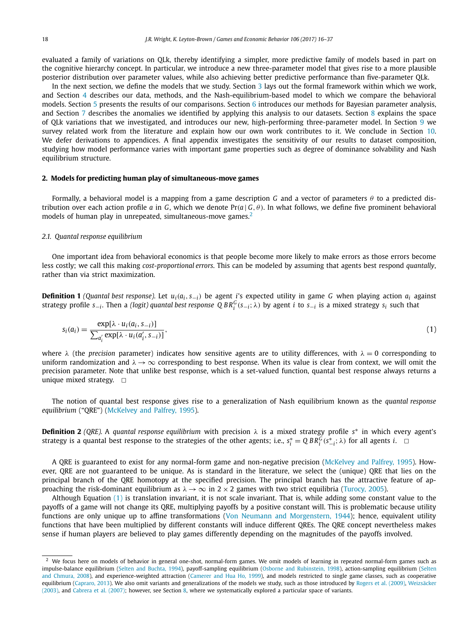<span id="page-2-0"></span>evaluated a family of variations on QLk, thereby identifying a simpler, more predictive family of models based in part on the cognitive hierarchy concept. In particular, we introduce a new three-parameter model that gives rise to a more plausible posterior distribution over parameter values, while also achieving better predictive performance than five-parameter QLk.

In the next section, we define the models that we study. Section [3](#page-5-0) lays out the formal framework within which we work, and Section [4](#page-6-0) describes our data, methods, and the Nash-equilibrium-based model to which we compare the behavioral models. Section [5](#page-8-0) presents the results of our comparisons. Section [6](#page-9-0) introduces our methods for Bayesian parameter analysis, and Section [7](#page-10-0) describes the anomalies we identified by applying this analysis to our datasets. Section [8](#page-13-0) explains the space of QLk variations that we investigated, and introduces our new, high-performing three-parameter model. In Section [9](#page-15-0) we survey related work from the literature and explain how our own work contributes to it. We conclude in Section [10.](#page-16-0) We defer derivations to appendices. A final appendix investigates the sensitivity of our results to dataset composition, studying how model performance varies with important game properties such as degree of dominance solvability and Nash equilibrium structure.

#### **2. Models for predicting human play of simultaneous-move games**

Formally, a behavioral model is a mapping from a game description *G* and a vector of parameters *θ* to a predicted distribution over each action profile *a* in *G*, which we denote Pr(*a*|*G*, *θ*). In what follows, we define five prominent behavioral models of human play in unrepeated, simultaneous-move games.<sup>2</sup>

#### *2.1. Quantal response equilibrium*

One important idea from behavioral economics is that people become more likely to make errors as those errors become less costly; we call this making *cost-proportional errors*. This can be modeled by assuming that agents best respond *quantally*, rather than via strict maximization.

**Definition 1** (Quantal best response). Let  $u_i(a_i, s_{-i})$  be agent i's expected utility in game G when playing action  $a_i$  against strategy profile s<sub>—i</sub>. Then a (logit) quantal best response Q BR $^G_i$ (s<sub>—i</sub>;  $\lambda$ ) by agent i to s<sub>—i</sub> is a mixed strategy s<sub>i</sub> such that

$$
s_i(a_i) = \frac{\exp[\lambda \cdot u_i(a_i, s_{-i})]}{\sum_{a'_i} \exp[\lambda \cdot u_i(a'_i, s_{-i})]},
$$
\n(1)

where  $\lambda$  (the *precision* parameter) indicates how sensitive agents are to utility differences, with  $\lambda = 0$  corresponding to uniform randomization and  $\lambda \to \infty$  corresponding to best response. When its value is clear from context, we will omit the precision parameter. Note that unlike best response, which is a set-valued function, quantal best response always returns a unique mixed strategy.  $\Box$ 

The notion of quantal best response gives rise to a generalization of Nash equilibrium known as the *quantal response equilibrium* ("QRE") [\(McKelvey](#page-21-0) and Palfrey, 1995).

**Definition 2** *(QRE).* A *quantal response equilibrium* with precision *λ* is a mixed strategy profile *s*<sup>∗</sup> in which every agent's strategy is a quantal best response to the strategies of the other agents; i.e.,  $s_i^* = Q BR_i^G(s_{-i}^*; \lambda)$  for all agents *i*.  $\Box$ 

A QRE is guaranteed to exist for any normal-form game and non-negative precision [\(McKelvey](#page-21-0) and Palfrey, 1995). However, QRE are not guaranteed to be unique. As is standard in the literature, we select the (unique) QRE that lies on the principal branch of the QRE homotopy at the specified precision. The principal branch has the attractive feature of approaching the risk-dominant equilibrium as  $\lambda \rightarrow \infty$  in 2 × 2 games with two strict equilibria [\(Turocy,](#page-21-0) 2005).

Although Equation (1) is translation invariant, it is not scale invariant. That is, while adding some constant value to the payoffs of a game will not change its QRE, multiplying payoffs by a positive constant will. This is problematic because utility functions are only unique up to affine transformations (Von Neumann and [Morgenstern,](#page-21-0) 1944); hence, equivalent utility functions that have been multiplied by different constants will induce different QREs. The QRE concept nevertheless makes sense if human players are believed to play games differently depending on the magnitudes of the payoffs involved.

 $2$  We focus here on models of behavior in general one-shot, normal-form games. We omit models of learning in repeated normal-form games such as impulse-balance equilibrium (Selten and [Buchta,](#page-21-0) 1994), payoff-sampling equilibrium (Osborne and [Rubinstein,](#page-21-0) 1998), action-sampling equilibrium [\(Selten](#page-21-0) and [Chmura,](#page-21-0) 2008), and experience-weighted attraction [\(Camerer](#page-21-0) and Hua Ho, 1999), and models restricted to single game classes, such as cooperative equilibrium [\(Capraro,](#page-21-0) 2013). We also omit variants and generalizations of the models we study, such as those introduced by Rogers et al. [\(2009\),](#page-21-0) [Weizsäcker](#page-21-0) [\(2003\),](#page-21-0) and [Cabrera](#page-20-0) et al. (2007); however, see Section [8,](#page-13-0) where we systematically explored a particular space of variants.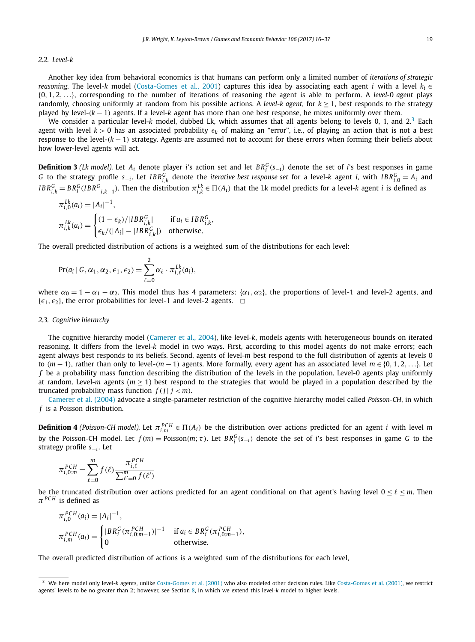### <span id="page-3-0"></span>*2.2. Level-k*

Another key idea from behavioral economics is that humans can perform only a limited number of *iterations of strategic reasoning*. The level-*k* model [\(Costa-Gomes](#page-21-0) et al., 2001) captures this idea by associating each agent *i* with a level *ki* ∈ {0*,* 1*,* 2*,...*}, corresponding to the number of iterations of reasoning the agent is able to perform. A *level-*0 *agent* plays randomly, choosing uniformly at random from his possible actions. A *level-k agent*, for  $k \ge 1$ , best responds to the strategy played by level-*(k* − 1*)* agents. If a level-*k* agent has more than one best response, he mixes uniformly over them.

We consider a particular level-*k* model, dubbed Lk, which assumes that all agents belong to levels 0, 1, and 2.<sup>3</sup> Each agent with level  $k > 0$  has an associated probability  $\epsilon_k$  of making an "error", i.e., of playing an action that is not a best response to the level-*(k* − 1*)* strategy. Agents are assumed not to account for these errors when forming their beliefs about how lower-level agents will act.

**Definition 3** *(Lk model).* Let  $A_i$  denote player *i*'s action set and let  $BR_i^G(s_{-i})$  denote the set of *i*'s best responses in game G to the strategy profile  $s_{-i}$ . Let  $IBR_{i,k}^G$  denote the *iterative best response set* for a level-k agent *i*, with  $IBR_{i,0}^G = A_i$  and  $IBR_{i,k}^G=BR_i^G(IBR_{-i,k-1}^G).$  Then the distribution  $\pi_{i,k}^{Lk}\in\Pi(A_i)$  that the Lk model predicts for a level-k agent  $i$  is defined as

$$
\pi_{i,0}^{Lk}(a_i) = |A_i|^{-1},
$$
\n
$$
\pi_{i,k}^{Lk}(a_i) = \begin{cases}\n(1 - \epsilon_k)/|IBR_{i,k}^G| & \text{if } a_i \in IBR_{i,k}^G, \\
\epsilon_k/(|A_i| - |IBR_{i,k}^G|) & \text{otherwise.} \n\end{cases}
$$

The overall predicted distribution of actions is a weighted sum of the distributions for each level:

$$
Pr(a_i | G, \alpha_1, \alpha_2, \epsilon_1, \epsilon_2) = \sum_{\ell=0}^2 \alpha_\ell \cdot \pi_{i,\ell}^{Lk}(a_i),
$$

where  $\alpha_0 = 1 - \alpha_1 - \alpha_2$ . This model thus has 4 parameters: { $\alpha_1, \alpha_2$ }, the proportions of level-1 and level-2 agents, and  $\{\epsilon_1, \epsilon_2\}$ , the error probabilities for level-1 and level-2 agents.  $\Box$ 

#### *2.3. Cognitive hierarchy*

The cognitive hierarchy model [\(Camerer](#page-21-0) et al., 2004), like level-*k*, models agents with heterogeneous bounds on iterated reasoning. It differs from the level-*k* model in two ways. First, according to this model agents do not make errors; each agent always best responds to its beliefs. Second, agents of level-*m* best respond to the full distribution of agents at levels 0 to  $(m-1)$ , rather than only to level- $(m-1)$  agents. More formally, every agent has an associated level  $m \in \{0, 1, 2, ...\}$ . Let *f* be a probability mass function describing the distribution of the levels in the population. Level-0 agents play uniformly at random. Level-*m* agents ( $m > 1$ ) best respond to the strategies that would be played in a population described by the truncated probability mass function  $f(i | j < m)$ .

[Camerer](#page-21-0) et al. (2004) advocate a single-parameter restriction of the cognitive hierarchy model called *Poisson-CH*, in which *f* is a Poisson distribution.

**Definition 4** *(Poisson-CH model).* Let  $\pi^{PCH}_{i,m} \in \Pi(A_i)$  be the distribution over actions predicted for an agent *i* with level *m* by the Poisson-CH model. Let  $f(m) = \text{Poisson}(m; \tau)$ . Let  $BR_i^G(s_{-i})$  denote the set of i's best responses in game G to the strategy profile *s*−*<sup>i</sup>* . Let

$$
\pi_{i,0:m}^{PCH} = \sum_{\ell=0}^{m} f(\ell) \frac{\pi_{i,\ell}^{PCH}}{\sum_{\ell'=0}^{m} f(\ell')}
$$

be the truncated distribution over actions predicted for an agent conditional on that agent's having level  $0 \le \ell \le m$ . Then *π PCH* is defined as

$$
\pi_{i,0}^{PCH}(a_i) = |A_i|^{-1},
$$
\n
$$
\pi_{i,m}^{PCH}(a_i) = \begin{cases}\n|BR_i^G(\pi_{i,0:m-1}^{PCH})|^{-1} & \text{if } a_i \in BR_i^G(\pi_{i,0:m-1}^{PCH}), \\
0 & \text{otherwise.} \n\end{cases}
$$

The overall predicted distribution of actions is a weighted sum of the distributions for each level,

<sup>&</sup>lt;sup>3</sup> We here model only level-*k* agents, unlike [Costa-Gomes](#page-21-0) et al. (2001) who also modeled other decision rules. Like Costa-Gomes et al. (2001), we restrict agents' levels to be no greater than 2; however, see Section [8,](#page-13-0) in which we extend this level-*k* model to higher levels.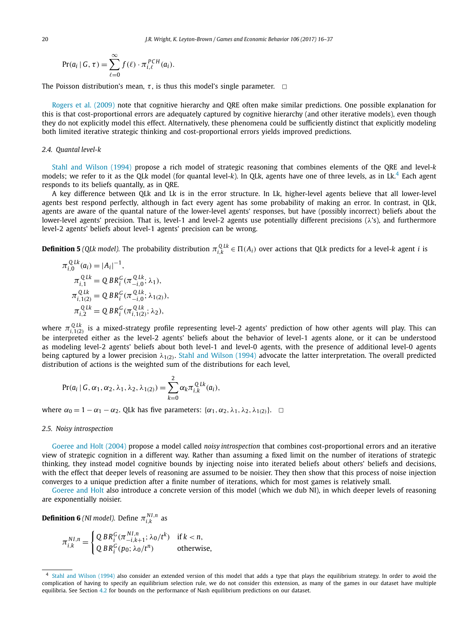$$
Pr(a_i | G, \tau) = \sum_{\ell=0}^{\infty} f(\ell) \cdot \pi_{i,\ell}^{PCH}(a_i).
$$

The Poisson distribution's mean,  $\tau$ , is thus this model's single parameter.  $\Box$ 

[Rogers](#page-21-0) et al. (2009) note that cognitive hierarchy and QRE often make similar predictions. One possible explanation for this is that cost-proportional errors are adequately captured by cognitive hierarchy (and other iterative models), even though they do not explicitly model this effect. Alternatively, these phenomena could be sufficiently distinct that explicitly modeling both limited iterative strategic thinking and cost-proportional errors yields improved predictions.

#### *2.4. Quantal level-k*

Stahl and [Wilson](#page-21-0) (1994) propose a rich model of strategic reasoning that combines elements of the QRE and level-*k* models; we refer to it as the QLk model (for quantal level-*k*). In QLk, agents have one of three levels, as in Lk.<sup>4</sup> Each agent responds to its beliefs quantally, as in QRE.

A key difference between QLk and Lk is in the error structure. In Lk, higher-level agents believe that all lower-level agents best respond perfectly, although in fact every agent has some probability of making an error. In contrast, in QLk, agents are aware of the quantal nature of the lower-level agents' responses, but have (possibly incorrect) beliefs about the lower-level agents' precision. That is, level-1 and level-2 agents use potentially different precisions (*λ*'s), and furthermore level-2 agents' beliefs about level-1 agents' precision can be wrong.

**Definition 5** (QLk model). The probability distribution  $\pi_{i,k}^{QLk} \in \Pi(A_i)$  over actions that QLk predicts for a level-k agent i is

$$
\pi_{i,0}^{QLk}(a_i) = |A_i|^{-1},
$$
  
\n
$$
\pi_{i,1}^{QLk} = Q BR_i^G(\pi_{-i,0}^{QLk}; \lambda_1),
$$
  
\n
$$
\pi_{i,1(2)}^{QLk} = Q BR_i^G(\pi_{-i,0}^{QLk}; \lambda_{1(2)}),
$$
  
\n
$$
\pi_{i,2}^{QLk} = Q BR_i^G(\pi_{i,1(2)}^{QLk}; \lambda_2),
$$

*where*  $\pi_{i,1(2)}^{QLk}$  is a mixed-strategy profile representing level-2 agents' prediction of how other agents will play. This can be interpreted either as the level-2 agents' beliefs about the behavior of level-1 agents alone, or it can be understood as modeling level-2 agents' beliefs about both level-1 and level-0 agents, with the presence of additional level-0 agents being captured by a lower precision *λ*1*(*2*)*. Stahl and [Wilson](#page-21-0) (1994) advocate the latter interpretation. The overall predicted distribution of actions is the weighted sum of the distributions for each level,

$$
Pr(a_i | G, \alpha_1, \alpha_2, \lambda_1, \lambda_2, \lambda_{1(2)}) = \sum_{k=0}^{2} \alpha_k \pi_{i,k}^{QLk}(a_i),
$$

where  $α_0 = 1 − α_1 − α_2$ . QLk has five parameters: { $α_1, α_2, λ_1, λ_2, λ_{1(2)}$ }.  $□$ 

#### *2.5. Noisy introspection*

[Goeree](#page-21-0) and Holt (2004) propose a model called *noisy introspection* that combines cost-proportional errors and an iterative view of strategic cognition in a different way. Rather than assuming a fixed limit on the number of iterations of strategic thinking, they instead model cognitive bounds by injecting noise into iterated beliefs about others' beliefs and decisions, with the effect that deeper levels of reasoning are assumed to be noisier. They then show that this process of noise injection converges to a unique prediction after a finite number of iterations, which for most games is relatively small.

[Goeree](#page-21-0) and Holt also introduce a concrete version of this model (which we dub NI), in which deeper levels of reasoning are exponentially noisier.

**Definition 6** *(NI model).* Define  $\pi^{NI,n}_{i,k}$  as

$$
\pi_{i,k}^{NI,n} = \begin{cases} \mathbf{Q} BR_i^G(\pi_{-i,k+1}^{NI,n}; \lambda_0/t^k) & \text{if } k < n, \\ \mathbf{Q} BR_i^G(p_0; \lambda_0/t^n) & \text{otherwise,} \end{cases}
$$

<sup>4</sup> Stahl and [Wilson](#page-21-0) (1994) also consider an extended version of this model that adds a type that plays the equilibrium strategy. In order to avoid the complication of having to specify an equilibrium selection rule, we do not consider this extension, as many of the games in our dataset have multiple equilibria. See Section [4.2](#page-7-0) for bounds on the performance of Nash equilibrium predictions on our dataset.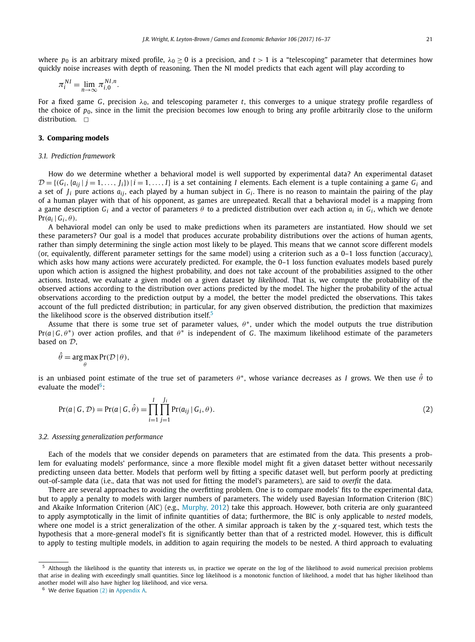<span id="page-5-0"></span>where  $p_0$  is an arbitrary mixed profile,  $\lambda_0 \ge 0$  is a precision, and  $t > 1$  is a "telescoping" parameter that determines how quickly noise increases with depth of reasoning. Then the NI model predicts that each agent will play according to

$$
\pi_i^{NI} = \lim_{n \to \infty} \pi_{i,0}^{NI,n}.
$$

For a fixed game *G*, precision *λ*0, and telescoping parameter *t*, this converges to a unique strategy profile regardless of the choice of  $p_0$ , since in the limit the precision becomes low enough to bring any profile arbitrarily close to the uniform distribution.  $\square$ 

#### **3. Comparing models**

#### *3.1. Prediction framework*

How do we determine whether a behavioral model is well supported by experimental data? An experimental dataset  $\mathcal{D} = \{(G_i, \{a_{ij} | j = 1, \ldots, J_i\}) \mid i = 1, \ldots, I\}$  is a set containing *I* elements. Each element is a tuple containing a game  $G_i$  and a set of *Ji* pure actions *aij* , each played by a human subject in *Gi* . There is no reason to maintain the pairing of the play of a human player with that of his opponent, as games are unrepeated. Recall that a behavioral model is a mapping from a game description *Gi* and a vector of parameters *θ* to a predicted distribution over each action *ai* in *Gi* , which we denote  $Pr(a_i | G_i, \theta)$ .

A behavioral model can only be used to make predictions when its parameters are instantiated. How should we set these parameters? Our goal is a model that produces accurate probability distributions over the actions of human agents, rather than simply determining the single action most likely to be played. This means that we cannot score different models (or, equivalently, different parameter settings for the same model) using a criterion such as a 0–1 loss function (accuracy), which asks how many actions were accurately predicted. For example, the 0–1 loss function evaluates models based purely upon which action is assigned the highest probability, and does not take account of the probabilities assigned to the other actions. Instead, we evaluate a given model on a given dataset by *likelihood*. That is, we compute the probability of the observed actions according to the distribution over actions predicted by the model. The higher the probability of the actual observations according to the prediction output by a model, the better the model predicted the observations. This takes account of the full predicted distribution; in particular, for any given observed distribution, the prediction that maximizes the likelihood score is the observed distribution itself.<sup>5</sup>

Assume that there is some true set of parameter values, *θ* <sup>∗</sup>, under which the model outputs the true distribution  $Pr(a \mid G, \theta^*)$  over action profiles, and that  $\theta^*$  is independent of *G*. The maximum likelihood estimate of the parameters based on D,

$$
\hat{\theta} = \arg\max_{\theta} \Pr(\mathcal{D} \mid \theta),
$$

is an unbiased point estimate of the true set of parameters  $\theta^*$ , whose variance decreases as *I* grows. We then use  $\hat{\theta}$  to evaluate the model $6$ :

$$
Pr(a \mid G, \mathcal{D}) = Pr(a \mid G, \hat{\theta}) = \prod_{i=1}^{I} \prod_{j=1}^{J_i} Pr(a_{ij} \mid G_i, \theta).
$$
\n(2)

#### *3.2. Assessing generalization performance*

Each of the models that we consider depends on parameters that are estimated from the data. This presents a problem for evaluating models' performance, since a more flexible model might fit a given dataset better without necessarily predicting unseen data better. Models that perform well by fitting a specific dataset well, but perform poorly at predicting out-of-sample data (i.e., data that was not used for fitting the model's parameters), are said to *overfit* the data.

There are several approaches to avoiding the overfitting problem. One is to compare models' fits to the experimental data, but to apply a penalty to models with larger numbers of parameters. The widely used Bayesian Information Criterion (BIC) and Akaike Information Criterion (AIC) (e.g., [Murphy,](#page-21-0) 2012) take this approach. However, both criteria are only guaranteed to apply asymptotically in the limit of infinite quantities of data; furthermore, the BIC is only applicable to *nested* models, where one model is a strict generalization of the other. A similar approach is taken by the *χ*-squared test, which tests the hypothesis that a more-general model's fit is significantly better than that of a restricted model. However, this is difficult to apply to testing multiple models, in addition to again requiring the models to be nested. A third approach to evaluating

<sup>&</sup>lt;sup>5</sup> Although the likelihood is the quantity that interests us, in practice we operate on the log of the likelihood to avoid numerical precision problems that arise in dealing with exceedingly small quantities. Since log likelihood is a monotonic function of likelihood, a model that has higher likelihood than another model will also have higher log likelihood, and vice versa.

<sup>6</sup> We derive Equation (2) in [Appendix A.](#page-18-0)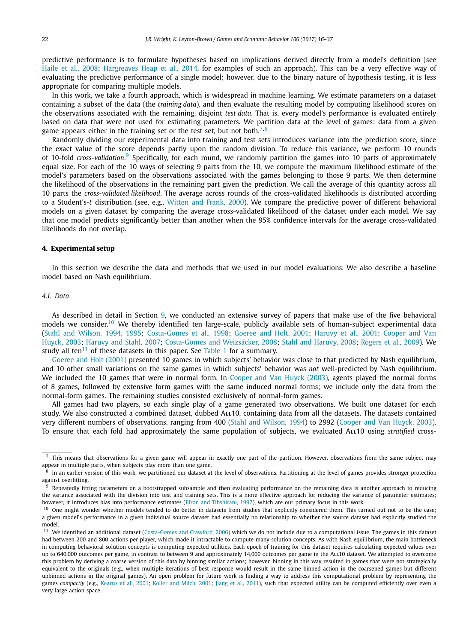<span id="page-6-0"></span>predictive performance is to formulate hypotheses based on implications derived directly from a model's definition (see Haile et al., [2008;](#page-21-0) [Hargreaves Heap](#page-21-0) et al., 2014, for examples of such an approach). This can be a very effective way of evaluating the predictive performance of a single model; however, due to the binary nature of hypothesis testing, it is less appropriate for comparing multiple models.

In this work, we take a fourth approach, which is widespread in machine learning. We estimate parameters on a dataset containing a subset of the data (the *training data*), and then evaluate the resulting model by computing likelihood scores on the observations associated with the remaining, disjoint *test data*. That is, every model's performance is evaluated entirely based on data that were not used for estimating parameters. We partition data at the level of games: data from a given game appears either in the training set or the test set, but not both.<sup>7,8</sup>

Randomly dividing our experimental data into training and test sets introduces variance into the prediction score, since the exact value of the score depends partly upon the random division. To reduce this variance, we perform 10 rounds of 10-fold *cross-validation*. <sup>9</sup> Specifically, for each round, we randomly partition the games into 10 parts of approximately equal size. For each of the 10 ways of selecting 9 parts from the 10, we compute the maximum likelihood estimate of the model's parameters based on the observations associated with the games belonging to those 9 parts. We then determine the likelihood of the observations in the remaining part given the prediction. We call the average of this quantity across all 10 parts the *cross-validated likelihood*. The average across rounds of the cross-validated likelihoods is distributed according to a Student's-*t* distribution (see, e.g., [Witten](#page-21-0) and Frank, 2000). We compare the predictive power of different behavioral models on a given dataset by comparing the average cross-validated likelihood of the dataset under each model. We say that one model predicts significantly better than another when the 95% confidence intervals for the average cross-validated likelihoods do not overlap.

#### **4. Experimental setup**

In this section we describe the data and methods that we used in our model evaluations. We also describe a baseline model based on Nash equilibrium.

### *4.1. Data*

As described in detail in Section [9,](#page-15-0) we conducted an extensive survey of papers that make use of the five behavioral models we consider.<sup>10</sup> We thereby identified ten large-scale, publicly available sets of human-subject experimental data (Stahl and [Wilson,](#page-21-0) 1994, 1995; [Costa-Gomes](#page-21-0) et al., 1998; [Goeree](#page-21-0) and Holt, 2001; [Haruvy](#page-21-0) et al., 2001; [Cooper](#page-21-0) and Van [Huyck,](#page-21-0) 2003; [Haruvy](#page-21-0) and Stahl, 2007; [Costa-Gomes](#page-21-0) and Weizsäcker, 2008; Stahl and [Haruvy,](#page-21-0) 2008; [Rogers](#page-21-0) et al., 2009). We study all ten $11$  of these datasets in this paper. See [Table 1](#page-7-0) for a summary.

[Goeree](#page-21-0) and Holt (2001) presented 10 games in which subjects' behavior was close to that predicted by Nash equilibrium, and 10 other small variations on the same games in which subjects' behavior was *not* well-predicted by Nash equilibrium. We included the 10 games that were in normal form. In [Cooper](#page-21-0) and Van Huyck (2003), agents played the normal forms of 8 games, followed by extensive form games with the same induced normal forms; we include only the data from the normal-form games. The remaining studies consisted exclusively of normal-form games.

All games had two players, so each single play of a game generated two observations. We built one dataset for each study. We also constructed a combined dataset, dubbed ALL10, containing data from all the datasets. The datasets contained very different numbers of observations, ranging from 400 (Stahl and [Wilson,](#page-21-0) 1994) to 2992 [\(Cooper](#page-21-0) and Van Huyck, 2003). To ensure that each fold had approximately the same population of subjects, we evaluated All10 using *stratified* cross-

 $^7$  This means that observations for a given game will appear in exactly one part of the partition. However, observations from the same subject may appear in multiple parts, when subjects play more than one game.

In an earlier version of this work, we partitioned our dataset at the level of observations. Partitioning at the level of games provides stronger protection against overfitting.<br> $\frac{9}{2}$  Penastedly fitting.

Repeatedly fitting parameters on a bootstrapped subsample and then evaluating performance on the remaining data is another approach to reducing the variance associated with the division into test and training sets. This is a more effective approach for reducing the variance of parameter estimates; however, it introduces bias into performance estimates (Efron and [Tibshirani,](#page-21-0) 1997), which are our primary focus in this work.

<sup>&</sup>lt;sup>10</sup> One might wonder whether models tended to do better in datasets from studies that explicitly considered them. This turned out not to be the case; a given model's performance in a given individual source dataset had essentially no relationship to whether the source dataset had explicitly studied the model.

<sup>&</sup>lt;sup>11</sup> We identified an additional dataset [\(Costa-Gomes](#page-21-0) and Crawford, 2006) which we do not include due to a computational issue. The games in this dataset had between 200 and 800 actions per player, which made it intractable to compute many solution concepts. As with Nash equilibrium, the main bottleneck in computing behavioral solution concepts is computing expected utilities. Each epoch of training for this dataset requires calculating expected values over up to 640,000 outcomes per game, in contrast to between 9 and approximately 14,000 outcomes per game in the All10 dataset. We attempted to overcome this problem by deriving a coarse version of this data by binning similar actions; however, binning in this way resulted in games that were not strategically equivalent to the originals (e.g., when multiple iterations of best response would result in the same binned action in the coarsened games but different unbinned actions in the original games). An open problem for future work is finding a way to address this computational problem by representing the games *compactly* (e.g., [Kearns](#page-21-0) et al., 2001; Koller and [Milch,](#page-21-0) 2001; Jiang et al., [2011\)](#page-21-0), such that expected utility can be computed efficiently over even a very large action space.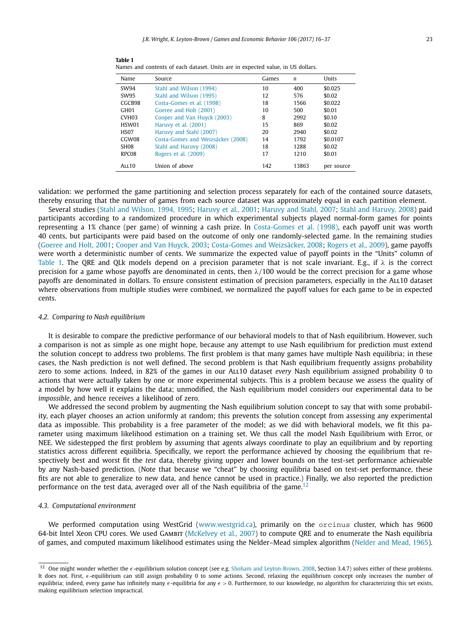| Name              | Source                            | Games | n     | Units      |
|-------------------|-----------------------------------|-------|-------|------------|
| SW94              | Stahl and Wilson (1994)           | 10    | 400   | \$0.025    |
| SW95              | Stahl and Wilson (1995)           | 12    | 576   | \$0.02     |
| CGCB98            | Costa-Gomes et al. (1998)         | 18    | 1566  | \$0.022    |
| GH <sub>01</sub>  | Goeree and Holt (2001)            | 10    | 500   | \$0.01     |
| CVH <sub>03</sub> | Cooper and Van Huyck (2003)       | 8     | 2992  | \$0.10     |
| HSW01             | Haruvy et al. (2001)              | 15    | 869   | \$0.02     |
| H <sub>SO</sub> 7 | Haruvy and Stahl (2007)           | 20    | 2940  | \$0.02     |
| CGW08             | Costa-Gomes and Weizsäcker (2008) | 14    | 1792  | \$0.0107   |
| SH <sub>08</sub>  | Stahl and Haruvy (2008)           | 18    | 1288  | \$0.02     |
| RPC08             | Rogers et al. (2009)              | 17    | 1210  | \$0.01     |
| ALL10             | Union of above                    | 142   | 13863 | per source |

<span id="page-7-0"></span>

| Table 1                                                                         |  |  |  |  |  |
|---------------------------------------------------------------------------------|--|--|--|--|--|
| Names and contents of each dataset. Units are in expected value, in US dollars. |  |  |  |  |  |

validation: we performed the game partitioning and selection process separately for each of the contained source datasets, thereby ensuring that the number of games from each source dataset was approximately equal in each partition element.

Several studies (Stahl and [Wilson,](#page-21-0) 1994, 1995; [Haruvy](#page-21-0) et al., 2001; [Haruvy](#page-21-0) and Stahl, 2007; Stahl and [Haruvy,](#page-21-0) 2008) paid participants according to a randomized procedure in which experimental subjects played normal-form games for points representing a 1% chance (per game) of winning a cash prize. In [Costa-Gomes](#page-21-0) et al. (1998), each payoff unit was worth 40 cents, but participants were paid based on the outcome of only one randomly-selected game. In the remaining studies [\(Goeree](#page-21-0) and Holt, 2001; [Cooper](#page-21-0) and Van Huyck, 2003; [Costa-Gomes](#page-21-0) and Weizsäcker, 2008; [Rogers](#page-21-0) et al., 2009), game payoffs were worth a deterministic number of cents. We summarize the expected value of payoff points in the "Units" column of Table 1. The QRE and QLk models depend on a precision parameter that is not scale invariant. E.g., if *λ* is the correct precision for a game whose payoffs are denominated in cents, then *λ/*100 would be the correct precision for a game whose payoffs are denominated in dollars. To ensure consistent estimation of precision parameters, especially in the All10 dataset where observations from multiple studies were combined, we normalized the payoff values for each game to be in expected cents.

#### *4.2. Comparing to Nash equilibrium*

It is desirable to compare the predictive performance of our behavioral models to that of Nash equilibrium. However, such a comparison is not as simple as one might hope, because any attempt to use Nash equilibrium for prediction must extend the solution concept to address two problems. The first problem is that many games have multiple Nash equilibria; in these cases, the Nash prediction is not well defined. The second problem is that Nash equilibrium frequently assigns probability zero to some actions. Indeed, in 82% of the games in our All10 dataset *every* Nash equilibrium assigned probability 0 to actions that were actually taken by one or more experimental subjects. This is a problem because we assess the quality of a model by how well it explains the data; unmodified, the Nash equilibrium model considers our experimental data to be *impossible*, and hence receives a likelihood of zero.

We addressed the second problem by augmenting the Nash equilibrium solution concept to say that with some probability, each player chooses an action uniformly at random; this prevents the solution concept from assessing any experimental data as impossible. This probability is a free parameter of the model; as we did with behavioral models, we fit this parameter using maximum likelihood estimation on a training set. We thus call the model Nash Equilibrium with Error, or NEE. We sidestepped the first problem by assuming that agents always coordinate to play an equilibrium and by reporting statistics across different equilibria. Specifically, we report the performance achieved by choosing the equilibrium that respectively best and worst fit the *test* data, thereby giving upper and lower bounds on the test-set performance achievable by any Nash-based prediction. (Note that because we "cheat" by choosing equilibria based on test-set performance, these fits are not able to generalize to new data, and hence cannot be used in practice.) Finally, we also reported the prediction performance on the test data, averaged over all of the Nash equilibria of the game.<sup>12</sup>

#### *4.3. Computational environment*

We performed computation using WestGrid [\(www.westgrid.ca](http://www.westgrid.ca)), primarily on the orcinus cluster, which has 9600 64-bit Intel Xeon CPU cores. We used GAMBIT [\(McKelvey](#page-21-0) et al., 2007) to compute QRE and to enumerate the Nash equilibria of games, and computed maximum likelihood estimates using the Nelder–Mead simplex algorithm [\(Nelder](#page-21-0) and Mead, 1965).

<sup>&</sup>lt;sup>12</sup> One might wonder whether the  $\epsilon$ -equilibrium solution concept (see e.g. Shoham and [Leyton-Brown,](#page-21-0) 2008, Section 3.4.7) solves either of these problems. It does not. First,  $\epsilon$ -equilibrium can still assign probability 0 to some actions. Second, relaxing the equilibrium concept only increases the number of equilibria; indeed, every game has infinitely many  $\epsilon$ -equilibria for any  $\epsilon > 0$ . Furthermore, to our knowledge, no algorithm for characterizing this set exists, making equilibrium selection impractical.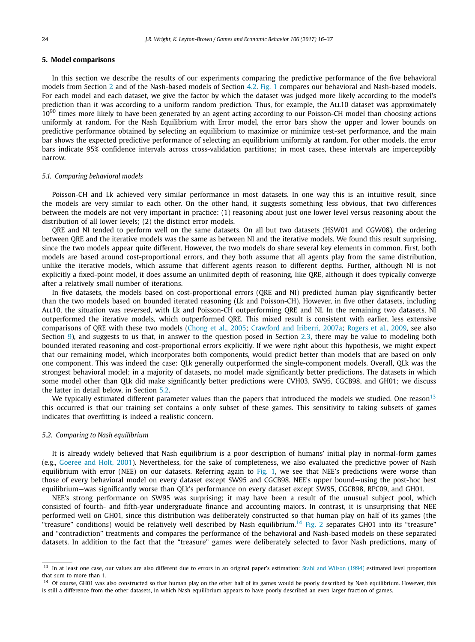#### <span id="page-8-0"></span>**5. Model comparisons**

In this section we describe the results of our experiments comparing the predictive performance of the five behavioral models from Section [2](#page-2-0) and of the Nash-based models of Section [4.2.](#page-7-0) [Fig. 1](#page-9-0) compares our behavioral and Nash-based models. For each model and each dataset, we give the factor by which the dataset was judged more likely according to the model's prediction than it was according to a uniform random prediction. Thus, for example, the ALL10 dataset was approximately  $10^{90}$  times more likely to have been generated by an agent acting according to our Poisson-CH model than choosing actions uniformly at random. For the Nash Equilibrium with Error model, the error bars show the upper and lower bounds on predictive performance obtained by selecting an equilibrium to maximize or minimize test-set performance, and the main bar shows the expected predictive performance of selecting an equilibrium uniformly at random. For other models, the error bars indicate 95% confidence intervals across cross-validation partitions; in most cases, these intervals are imperceptibly narrow.

#### *5.1. Comparing behavioral models*

Poisson-CH and Lk achieved very similar performance in most datasets. In one way this is an intuitive result, since the models are very similar to each other. On the other hand, it suggests something less obvious, that two differences between the models are not very important in practice: (1) reasoning about just one lower level versus reasoning about the distribution of all lower levels; (2) the distinct error models.

QRE and NI tended to perform well on the same datasets. On all but two datasets (HSW01 and CGW08), the ordering between QRE and the iterative models was the same as between NI and the iterative models. We found this result surprising, since the two models appear quite different. However, the two models do share several key elements in common. First, both models are based around cost-proportional errors, and they both assume that all agents play from the same distribution, unlike the iterative models, which assume that different agents reason to different depths. Further, although NI is not explicitly a fixed-point model, it does assume an unlimited depth of reasoning, like QRE, although it does typically converge after a relatively small number of iterations.

In five datasets, the models based on cost-proportional errors (QRE and NI) predicted human play significantly better than the two models based on bounded iterated reasoning (Lk and Poisson-CH). However, in five other datasets, including All10, the situation was reversed, with Lk and Poisson-CH outperforming QRE and NI. In the remaining two datasets, NI outperformed the iterative models, which outperformed QRE. This mixed result is consistent with earlier, less extensive comparisons of QRE with these two models [\(Chong](#page-21-0) et al., 2005; [Crawford](#page-21-0) and Iriberri, 2007a; [Rogers](#page-21-0) et al., 2009, see also Section [9\)](#page-15-0), and suggests to us that, in answer to the question posed in Section [2.3,](#page-3-0) there may be value to modeling both bounded iterated reasoning and cost-proportional errors explicitly. If we were right about this hypothesis, we might expect that our remaining model, which incorporates both components, would predict better than models that are based on only one component. This was indeed the case: QLk generally outperformed the single-component models. Overall, QLk was the strongest behavioral model; in a majority of datasets, no model made significantly better predictions. The datasets in which some model other than QLk did make significantly better predictions were CVH03, SW95, CGCB98, and GH01; we discuss the latter in detail below, in Section 5.2.

We typically estimated different parameter values than the papers that introduced the models we studied. One reason<sup>13</sup> this occurred is that our training set contains a only subset of these games. This sensitivity to taking subsets of games indicates that overfitting is indeed a realistic concern.

#### *5.2. Comparing to Nash equilibrium*

It is already widely believed that Nash equilibrium is a poor description of humans' initial play in normal-form games (e.g., [Goeree](#page-21-0) and Holt, 2001). Nevertheless, for the sake of completeness, we also evaluated the predictive power of Nash equilibrium with error (NEE) on our datasets. Referring again to [Fig. 1,](#page-9-0) we see that NEE's predictions were worse than those of every behavioral model on every dataset except SW95 and CGCB98. NEE's upper bound—using the post-hoc best equilibrium—was significantly worse than QLk's performance on every dataset except SW95, CGCB98, RPC09, and GH01.

NEE's strong performance on SW95 was surprising; it may have been a result of the unusual subject pool, which consisted of fourth- and fifth-year undergraduate finance and accounting majors. In contrast, it is unsurprising that NEE performed well on GH01, since this distribution was deliberately constructed so that human play on half of its games (the "treasure" conditions) would be relatively well described by Nash equilibrium.<sup>14</sup> Fig. 2 separates GH01 into its "treasure" and "contradiction" treatments and compares the performance of the behavioral and Nash-based models on these separated datasets. In addition to the fact that the "treasure" games were deliberately selected to favor Nash predictions, many of

<sup>&</sup>lt;sup>13</sup> In at least one case, our values are also different due to errors in an original paper's estimation: Stahl and [Wilson](#page-21-0) (1994) estimated level proportions that sum to more than 1.

<sup>&</sup>lt;sup>14</sup> Of course, GH01 was also constructed so that human play on the other half of its games would be poorly described by Nash equilibrium. However, this is still a difference from the other datasets, in which Nash equilibrium appears to have poorly described an even larger fraction of games.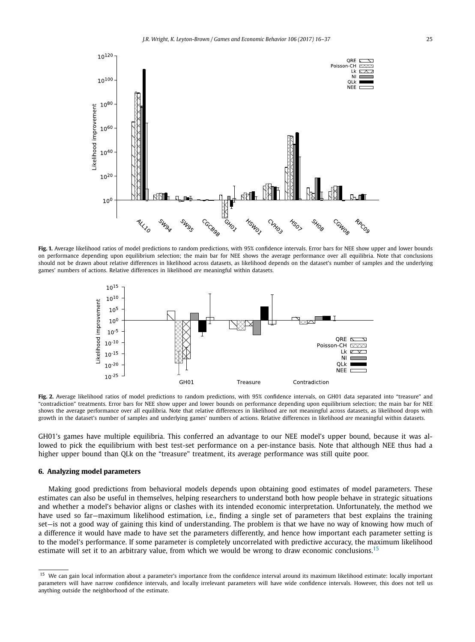<span id="page-9-0"></span>

**Fig. 1.** Average likelihood ratios of model predictions to random predictions, with 95% confidence intervals. Error bars for NEE show upper and lower bounds on performance depending upon equilibrium selection; the main bar for NEE shows the average performance over all equilibria. Note that conclusions should not be drawn about relative differences in likelihood across datasets, as likelihood depends on the dataset's number of samples and the underlying games' numbers of actions. Relative differences in likelihood *are* meaningful within datasets.



**Fig. 2.** Average likelihood ratios of model predictions to random predictions, with 95% confidence intervals, on GH01 data separated into "treasure" and "contradiction" treatments. Error bars for NEE show upper and lower bounds on performance depending upon equilibrium selection; the main bar for NEE shows the average performance over all equilibria. Note that relative differences in likelihood are not meaningful across datasets, as likelihood drops with growth in the dataset's number of samples and underlying games' numbers of actions. Relative differences in likelihood *are* meaningful within datasets.

GH01's games have multiple equilibria. This conferred an advantage to our NEE model's upper bound, because it was allowed to pick the equilibrium with best test-set performance on a per-instance basis. Note that although NEE thus had a higher upper bound than QLk on the "treasure" treatment, its average performance was still quite poor.

#### **6. Analyzing model parameters**

Making good predictions from behavioral models depends upon obtaining good estimates of model parameters. These estimates can also be useful in themselves, helping researchers to understand both how people behave in strategic situations and whether a model's behavior aligns or clashes with its intended economic interpretation. Unfortunately, the method we have used so far—maximum likelihood estimation, i.e., finding a single set of parameters that best explains the training set—is not a good way of gaining this kind of understanding. The problem is that we have no way of knowing how much of a difference it would have made to have set the parameters differently, and hence how important each parameter setting is to the model's performance. If some parameter is completely uncorrelated with predictive accuracy, the maximum likelihood estimate will set it to an arbitrary value, from which we would be wrong to draw economic conclusions.<sup>15</sup>

<sup>&</sup>lt;sup>15</sup> We can gain local information about a parameter's importance from the confidence interval around its maximum likelihood estimate: locally important parameters will have narrow confidence intervals, and locally irrelevant parameters will have wide confidence intervals. However, this does not tell us anything outside the neighborhood of the estimate.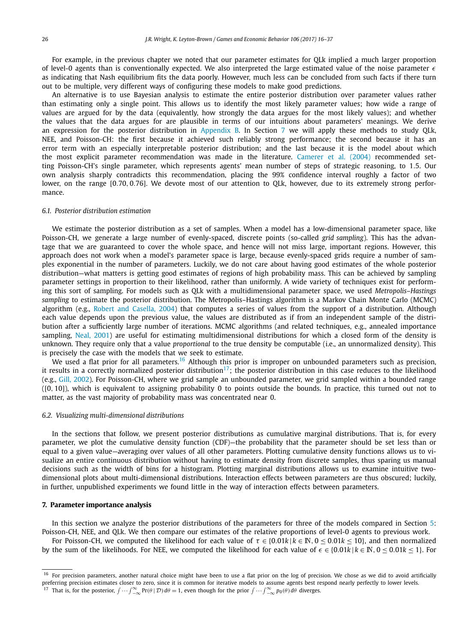<span id="page-10-0"></span>For example, in the previous chapter we noted that our parameter estimates for QLk implied a much larger proportion of level-0 agents than is conventionally expected. We also interpreted the large estimated value of the noise parameter  $\epsilon$ as indicating that Nash equilibrium fits the data poorly. However, much less can be concluded from such facts if there turn out to be multiple, very different ways of configuring these models to make good predictions.

An alternative is to use Bayesian analysis to estimate the entire posterior distribution over parameter values rather than estimating only a single point. This allows us to identify the most likely parameter values; how wide a range of values are argued for by the data (equivalently, how strongly the data argues for the most likely values); and whether the values that the data argues for are plausible in terms of our intuitions about parameters' meanings. We derive an expression for the posterior distribution in [Appendix B.](#page-19-0) In Section 7 we will apply these methods to study QLk, NEE, and Poisson-CH: the first because it achieved such reliably strong performance; the second because it has an error term with an especially interpretable posterior distribution; and the last because it is the model about which the most explicit parameter recommendation was made in the literature. [Camerer](#page-21-0) et al. (2004) recommended setting Poisson-CH's single parameter, which represents agents' mean number of steps of strategic reasoning, to 1*.*5. Our own analysis sharply contradicts this recommendation, placing the 99% confidence interval roughly a factor of two lower, on the range [0*.*70*,* 0*.*76]. We devote most of our attention to QLk, however, due to its extremely strong performance.

#### *6.1. Posterior distribution estimation*

We estimate the posterior distribution as a set of samples. When a model has a low-dimensional parameter space, like Poisson-CH, we generate a large number of evenly-spaced, discrete points (so-called *grid sampling*). This has the advantage that we are guaranteed to cover the whole space, and hence will not miss large, important regions. However, this approach does not work when a model's parameter space is large, because evenly-spaced grids require a number of samples exponential in the number of parameters. Luckily, we do not care about having good estimates of the whole posterior distribution—what matters is getting good estimates of regions of high probability mass. This can be achieved by sampling parameter settings in proportion to their likelihood, rather than uniformly. A wide variety of techniques exist for performing this sort of sampling. For models such as QLk with a multidimensional parameter space, we used *Metropolis–Hastings sampling* to estimate the posterior distribution. The Metropolis–Hastings algorithm is a Markov Chain Monte Carlo (MCMC) algorithm (e.g., Robert and [Casella,](#page-21-0) 2004) that computes a series of values from the support of a distribution. Although each value depends upon the previous value, the values are distributed as if from an independent sample of the distribution after a sufficiently large number of iterations. MCMC algorithms (and related techniques, e.g., annealed importance sampling, Neal, [2001\)](#page-21-0) are useful for estimating multidimensional distributions for which a closed form of the density is unknown. They require only that a value *proportional* to the true density be computable (i.e., an unnormalized density). This is precisely the case with the models that we seek to estimate.

We used a flat prior for all parameters.<sup>16</sup> Although this prior is improper on unbounded parameters such as precision, it results in a correctly normalized posterior distribution<sup>17</sup>; the posterior distribution in this case reduces to the likelihood (e.g., Gill, [2002\)](#page-21-0). For Poisson-CH, where we grid sample an unbounded parameter, we grid sampled within a bounded range ([0*,* 10]), which is equivalent to assigning probability 0 to points outside the bounds. In practice, this turned out not to matter, as the vast majority of probability mass was concentrated near 0.

#### *6.2. Visualizing multi-dimensional distributions*

In the sections that follow, we present posterior distributions as cumulative marginal distributions. That is, for every parameter, we plot the cumulative density function (CDF)—the probability that the parameter should be set less than or equal to a given value—averaging over values of all other parameters. Plotting cumulative density functions allows us to visualize an entire continuous distribution without having to estimate density from discrete samples, thus sparing us manual decisions such as the width of bins for a histogram. Plotting marginal distributions allows us to examine intuitive twodimensional plots about multi-dimensional distributions. Interaction effects between parameters are thus obscured; luckily, in further, unpublished experiments we found little in the way of interaction effects between parameters.

#### **7. Parameter importance analysis**

In this section we analyze the posterior distributions of the parameters for three of the models compared in Section [5:](#page-8-0) Poisson-CH, NEE, and QLk. We then compare our estimates of the relative proportions of level-0 agents to previous work.

For Poisson-CH, we computed the likelihood for each value of  $\tau \in \{0.01k \mid k \in \mathbb{N}, 0 \le 0.01k \le 10\}$ , and then normalized by the sum of the likelihoods. For NEE, we computed the likelihood for each value of  $\epsilon \in \{0.01k \mid k \in \mathbb{N}, 0 \le 0.01k \le 1\}$ . For

<sup>&</sup>lt;sup>16</sup> For precision parameters, another natural choice might have been to use a flat prior on the log of precision. We chose as we did to avoid artificially preferring precision estimates closer to zero, since it is common for iterative models to assume agents best respond nearly perfectly to lower levels.

<sup>&</sup>lt;sup>17</sup> That is, for the posterior,  $\int \cdots \int_{-\infty}^{\infty} Pr(\theta | \mathcal{D}) d\theta = 1$ , even though for the prior  $\int \cdots \int_{-\infty}^{\infty} p_0(\theta) d\theta$  diverges.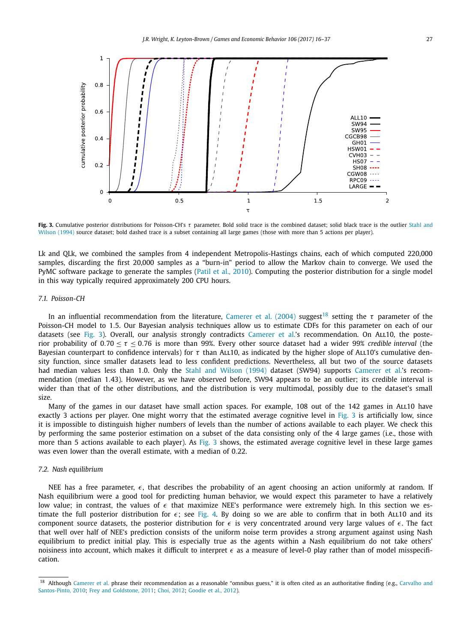<span id="page-11-0"></span>

**Fig. 3.** Cumulative posterior distributions for Poisson-CH's *τ* parameter. Bold solid trace is the combined dataset; solid black trace is the outlier [Stahl](#page-21-0) and [Wilson](#page-21-0) (1994) source dataset; bold dashed trace is a subset containing all large games (those with more than 5 actions per player).

Lk and QLk, we combined the samples from 4 independent Metropolis-Hastings chains, each of which computed 220,000 samples, discarding the first 20,000 samples as a "burn-in" period to allow the Markov chain to converge. We used the PyMC software package to generate the samples (Patil et al., [2010\)](#page-21-0). Computing the posterior distribution for a single model in this way typically required approximately 200 CPU hours.

#### *7.1. Poisson-CH*

In an influential recommendation from the literature, [Camerer](#page-21-0) et al. (2004) suggest<sup>18</sup> setting the *τ* parameter of the Poisson-CH model to 1*.*5. Our Bayesian analysis techniques allow us to estimate CDFs for this parameter on each of our datasets (see Fig. 3). Overall, our analysis strongly contradicts [Camerer](#page-21-0) et al.'s recommendation. On ALL10, the posterior probability of 0*.*70 ≤ *τ* ≤ 0*.*76 is more than 99%. Every other source dataset had a wider 99% *credible interval* (the Bayesian counterpart to confidence intervals) for *τ* than All10, as indicated by the higher slope of All10's cumulative density function, since smaller datasets lead to less confident predictions. Nevertheless, all but two of the source datasets had median values less than 1.0. Only the Stahl and [Wilson](#page-21-0) (1994) dataset (SW94) supports [Camerer](#page-21-0) et al.'s recommendation (median 1*.*43). However, as we have observed before, SW94 appears to be an outlier; its credible interval is wider than that of the other distributions, and the distribution is very multimodal, possibly due to the dataset's small size.

Many of the games in our dataset have small action spaces. For example, 108 out of the 142 games in ALL10 have exactly 3 actions per player. One might worry that the estimated average cognitive level in Fig. 3 is artificially low, since it is impossible to distinguish higher numbers of levels than the number of actions available to each player. We check this by performing the same posterior estimation on a subset of the data consisting only of the 4 large games (i.e., those with more than 5 actions available to each player). As Fig. 3 shows, the estimated average cognitive level in these large games was even lower than the overall estimate, with a median of 0*.*22.

#### *7.2. Nash equilibrium*

NEE has a free parameter,  $\epsilon$ , that describes the probability of an agent choosing an action uniformly at random. If Nash equilibrium were a good tool for predicting human behavior, we would expect this parameter to have a relatively low value; in contrast, the values of  $\epsilon$  that maximize NEE's performance were extremely high. In this section we estimate the full posterior distribution for  $\epsilon$ ; see [Fig. 4.](#page-12-0) By doing so we are able to confirm that in both ALL10 and its component source datasets, the posterior distribution for  $\epsilon$  is very concentrated around very large values of  $\epsilon$ . The fact that well over half of NEE's prediction consists of the uniform noise term provides a strong argument against using Nash equilibrium to predict initial play. This is especially true as the agents within a Nash equilibrium do not take others' noisiness into account, which makes it difficult to interpret  $\epsilon$  as a measure of level-0 play rather than of model misspecification.

<sup>&</sup>lt;sup>18</sup> Although [Camerer](#page-21-0) et al. phrase their recommendation as a reasonable "omnibus guess," it is often cited as an authoritative finding (e.g., [Carvalho](#page-21-0) and [Santos-Pinto,](#page-21-0) 2010; Frey and [Goldstone,](#page-21-0) 2011; Choi, [2012;](#page-21-0) [Goodie](#page-21-0) et al., 2012).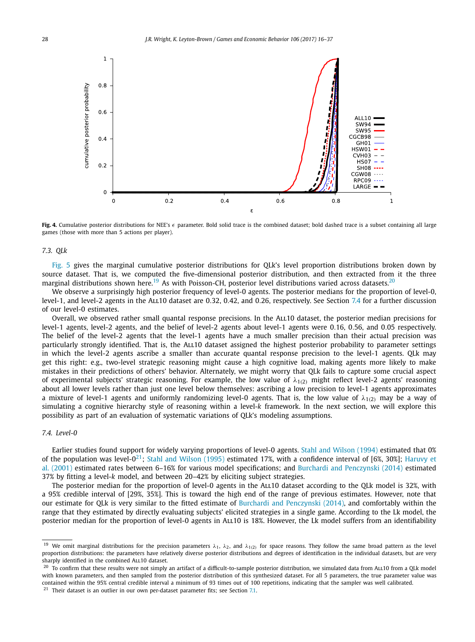<span id="page-12-0"></span>

Fig. 4. Cumulative posterior distributions for NEE's  $\epsilon$  parameter. Bold solid trace is the combined dataset; bold dashed trace is a subset containing all large games (those with more than 5 actions per player).

#### *7.3. QLk*

[Fig. 5](#page-13-0) gives the marginal cumulative posterior distributions for QLk's level proportion distributions broken down by source dataset. That is, we computed the five-dimensional posterior distribution, and then extracted from it the three marginal distributions shown here.<sup>19</sup> As with Poisson-CH, posterior level distributions varied across datasets.<sup>20</sup>

We observe a surprisingly high posterior frequency of level-0 agents. The posterior medians for the proportion of level-0, level-1, and level-2 agents in the All10 dataset are 0*.*32, 0*.*42, and 0*.*26, respectively. See Section 7.4 for a further discussion of our level-0 estimates.

Overall, we observed rather small quantal response precisions. In the All10 dataset, the posterior median precisions for level-1 agents, level-2 agents, and the belief of level-2 agents about level-1 agents were 0*.*16, 0*.*56, and 0*.*05 respectively. The belief of the level-2 agents that the level-1 agents have a much smaller precision than their actual precision was particularly strongly identified. That is, the ALL10 dataset assigned the highest posterior probability to parameter settings in which the level-2 agents ascribe a smaller than accurate quantal response precision to the level-1 agents. QLk may get this right: e.g., two-level strategic reasoning might cause a high cognitive load, making agents more likely to make mistakes in their predictions of others' behavior. Alternately, we might worry that QLk fails to capture some crucial aspect of experimental subjects' strategic reasoning. For example, the low value of *λ*1*(*2*)* might reflect level-2 agents' reasoning about all lower levels rather than just one level below themselves: ascribing a low precision to level-1 agents approximates a mixture of level-1 agents and uniformly randomizing level-0 agents. That is, the low value of  $\lambda_{1(2)}$  may be a way of simulating a cognitive hierarchy style of reasoning within a level-*k* framework. In the next section, we will explore this possibility as part of an evaluation of systematic variations of QLk's modeling assumptions.

#### *7.4. Level-0*

Earlier studies found support for widely varying proportions of level-0 agents. Stahl and [Wilson](#page-21-0) (1994) estimated that 0% of the population was level- $0^{21}$ ; Stahl and [Wilson](#page-21-0) (1995) estimated 17%, with a confidence interval of [6%, 30%]; [Haruvy](#page-21-0) et al. [\(2001\)](#page-21-0) estimated rates between 6–16% for various model specifications; and Burchardi and [Penczynski](#page-20-0) (2014) estimated 37% by fitting a level-*k* model, and between 20–42% by eliciting subject strategies.

The posterior median for the proportion of level-0 agents in the ALL10 dataset according to the QLk model is 32%, with a 95% credible interval of [29%, 35%]. This is toward the high end of the range of previous estimates. However, note that our estimate for QLk is very similar to the fitted estimate of Burchardi and [Penczynski](#page-20-0) (2014), and comfortably within the range that they estimated by directly evaluating subjects' elicited strategies in a single game. According to the Lk model, the posterior median for the proportion of level-0 agents in All10 is 18%. However, the Lk model suffers from an identifiability

<sup>&</sup>lt;sup>19</sup> We omit marginal distributions for the precision parameters  $\lambda_1$ ,  $\lambda_2$ , and  $\lambda_{1(2)}$  for space reasons. They follow the same broad pattern as the level proportion distributions: the parameters have relatively diverse posterior distributions and degrees of identification in the individual datasets, but are very sharply identified in the combined ALL10 dataset.

 $^{20}$  To confirm that these results were not simply an artifact of a difficult-to-sample posterior distribution, we simulated data from ALL10 from a QLk model with known parameters, and then sampled from the posterior distribution of this synthesized dataset. For all 5 parameters, the true parameter value was contained within the 95% central credible interval a minimum of 93 times out of 100 repetitions, indicating that the sampler was well calibrated.

 $21$  Their dataset is an outlier in our own per-dataset parameter fits; see Section [7.1.](#page-11-0)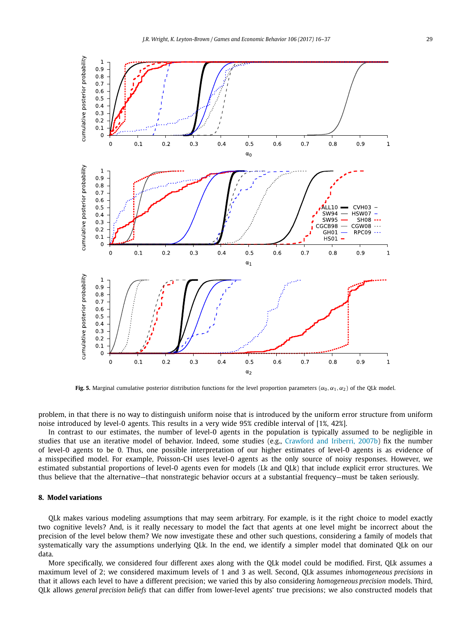<span id="page-13-0"></span>

**Fig. 5.** Marginal cumulative posterior distribution functions for the level proportion parameters ( $\alpha_0$ ,  $\alpha_1$ ,  $\alpha_2$ ) of the QLk model.

problem, in that there is no way to distinguish uniform noise that is introduced by the uniform error structure from uniform noise introduced by level-0 agents. This results in a very wide 95% credible interval of [1%, 42%].

In contrast to our estimates, the number of level-0 agents in the population is typically assumed to be negligible in studies that use an iterative model of behavior. Indeed, some studies (e.g., [Crawford](#page-21-0) and Iriberri, 2007b) fix the number of level-0 agents to be 0. Thus, one possible interpretation of our higher estimates of level-0 agents is as evidence of a misspecified model. For example, Poisson-CH uses level-0 agents as the only source of noisy responses. However, we estimated substantial proportions of level-0 agents even for models (Lk and QLk) that include explicit error structures. We thus believe that the alternative—that nonstrategic behavior occurs at a substantial frequency—must be taken seriously.

#### **8. Model variations**

QLk makes various modeling assumptions that may seem arbitrary. For example, is it the right choice to model exactly two cognitive levels? And, is it really necessary to model the fact that agents at one level might be incorrect about the precision of the level below them? We now investigate these and other such questions, considering a family of models that systematically vary the assumptions underlying QLk. In the end, we identify a simpler model that dominated QLk on our data.

More specifically, we considered four different axes along with the QLk model could be modified. First, QLk assumes a maximum level of 2; we considered maximum levels of 1 and 3 as well. Second, QLk assumes *inhomogeneous precisions* in that it allows each level to have a different precision; we varied this by also considering *homogeneous precision* models. Third, QLk allows *general precision beliefs* that can differ from lower-level agents' true precisions; we also constructed models that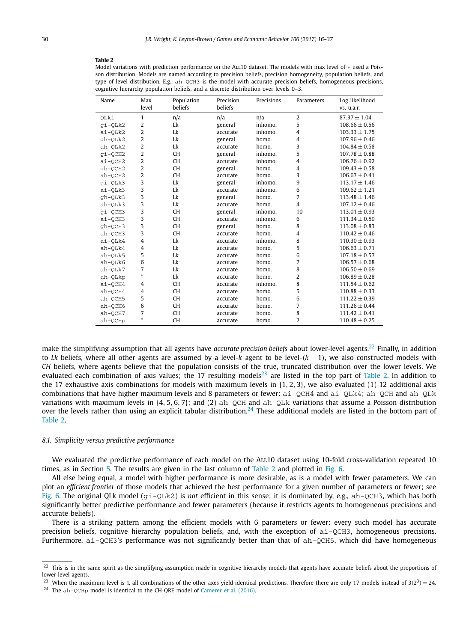#### **Table 2**

Model variations with prediction performance on the ALL10 dataset. The models with max level of ∗ used a Poisson distribution. Models are named according to precision beliefs, precision homogeneity, population beliefs, and type of level distribution. E.g., ah-QCH3 is the model with accurate precision beliefs, homogeneous precisions, cognitive hierarchy population beliefs, and a discrete distribution over levels 0–3.

| Name      | Max            | Population | Precision | Precisions | Parameters     | Log likelihood    |  |
|-----------|----------------|------------|-----------|------------|----------------|-------------------|--|
|           | level          | beliefs    | beliefs   |            |                | vs. u.a.r.        |  |
| OLk1      | $\mathbf{1}$   | n/a        | n/a       | n/a        | $\overline{2}$ | $87.37 \pm 1.04$  |  |
| gi-QLk2   | 2              | Lk         | general   | inhomo.    | 5              | $108.66 \pm 0.56$ |  |
| ai-QLk2   | $\overline{2}$ | Lk         | accurate  | inhomo.    | $\overline{4}$ | $103.33 \pm 1.75$ |  |
| gh-QLk2   | 2              | Lk         | general   | homo.      | $\overline{4}$ | $107.96 \pm 0.46$ |  |
| $ah-QLk2$ | $\overline{2}$ | Lk         | accurate  | homo.      | 3              | $104.84 \pm 0.58$ |  |
| gi-QCH2   | 2              | <b>CH</b>  | general   | inhomo.    | 5              | $107.78 \pm 0.88$ |  |
| ai-QCH2   | $\overline{2}$ | <b>CH</b>  | accurate  | inhomo.    | $\overline{4}$ | $106.76 \pm 0.92$ |  |
| gh-OCH2   | 2              | <b>CH</b>  | general   | homo.      | $\overline{4}$ | $109.43 \pm 0.58$ |  |
| ah-OCH2   | $\overline{2}$ | <b>CH</b>  | accurate  | homo.      | 3              | $106.67 \pm 0.41$ |  |
| gi-QLk3   | 3              | Lk         | general   | inhomo.    | 9              | $113.17 \pm 1.46$ |  |
| ai-OLk3   | 3              | Lk         | accurate  | inhomo.    | 6              | $109.62 + 1.21$   |  |
| gh-QLk3   | 3              | Lk         | general   | homo.      | 7              | $113.48 \pm 1.46$ |  |
| ah-QLk3   | 3              | Lk         | accurate  | homo.      | $\overline{4}$ | $107.12 \pm 0.46$ |  |
| gi-QCH3   | 3              | <b>CH</b>  | general   | inhomo.    | 10             | $113.01 \pm 0.93$ |  |
| ai-OCH3   | 3              | <b>CH</b>  | accurate  | inhomo.    | 6              | $111.34 \pm 0.59$ |  |
| gh-QCH3   | 3              | <b>CH</b>  | general   | homo.      | 8              | $113.08 \pm 0.83$ |  |
| $ah-QCH3$ | 3              | <b>CH</b>  | accurate  | homo.      | $\overline{4}$ | $110.42 \pm 0.46$ |  |
| ai-OLk4   | $\overline{4}$ | Lk         | accurate  | inhomo.    | 8              | $110.30 \pm 0.93$ |  |
| $ah-QLk4$ | $\overline{4}$ | Lk         | accurate  | homo.      | 5              | $106.63 \pm 0.71$ |  |
| $ah-QLk5$ | 5              | Lk         | accurate  | homo.      | 6              | $107.18 \pm 0.57$ |  |
| ah-OLk6   | 6              | Lk         | accurate  | homo.      | 7              | $106.57 \pm 0.68$ |  |
| ah-OLk7   | 7              | Lk         | accurate  | homo.      | 8              | $106.50 \pm 0.69$ |  |
| ah-QLkp   | $\ast$         | Lk         | accurate  | homo.      | $\overline{2}$ | $106.89 \pm 0.28$ |  |
| ai-QCH4   | $\overline{4}$ | <b>CH</b>  | accurate  | inhomo.    | 8              | $111.54 \pm 0.62$ |  |
| ah-OCH4   | $\overline{4}$ | <b>CH</b>  | accurate  | homo.      | 5              | $110.88 \pm 0.33$ |  |
| ah-QCH5   | 5              | <b>CH</b>  | accurate  | homo.      | 6              | $111.22 \pm 0.39$ |  |
| ah-QCH6   | 6              | <b>CH</b>  | accurate  | homo.      | 7              | $111.26 \pm 0.44$ |  |
| ah-OCH7   | 7              | <b>CH</b>  | accurate  | homo.      | 8              | $111.42 \pm 0.41$ |  |
| ah-OCHp   |                | <b>CH</b>  | accurate  | homo.      | 2              | $110.48 \pm 0.25$ |  |

make the simplifying assumption that all agents have *accurate precision beliefs* about lower-level agents.<sup>22</sup> Finally, in addition to *Lk* beliefs, where all other agents are assumed by a level-*k* agent to be level-*(k* − 1*)*, we also constructed models with *CH* beliefs, where agents believe that the population consists of the true, truncated distribution over the lower levels. We evaluated each combination of axis values; the 17 resulting models<sup>23</sup> are listed in the top part of Table 2. In addition to the 17 exhaustive axis combinations for models with maximum levels in {1*,* 2*,* 3}, we also evaluated (1) 12 additional axis combinations that have higher maximum levels and 8 parameters or fewer:  $ai-QCH4$  and  $ai-QLk4$ ;  $ah-QCH$  and  $ah-QLk$ variations with maximum levels in {4*,* 5*,* 6*,* 7}; and (2) ah-QCH and ah-QLk variations that assume a Poisson distribution over the levels rather than using an explicit tabular distribution.<sup>24</sup> These additional models are listed in the bottom part of Table 2.

#### *8.1. Simplicity versus predictive performance*

We evaluated the predictive performance of each model on the ALL10 dataset using 10-fold cross-validation repeated 10 times, as in Section [5.](#page-8-0) The results are given in the last column of Table 2 and plotted in [Fig. 6.](#page-15-0)

All else being equal, a model with higher performance is more desirable, as is a model with fewer parameters. We can plot an *efficient frontier* of those models that achieved the best performance for a given number of parameters or fewer; see [Fig. 6.](#page-15-0) The original QLk model (gi-QLk2) is *not* efficient in this sense; it is dominated by, e.g., ah-QCH3, which has both significantly better predictive performance and fewer parameters (because it restricts agents to homogeneous precisions and accurate beliefs).

There is a striking pattern among the efficient models with 6 parameters or fewer: every such model has accurate precision beliefs, cognitive hierarchy population beliefs, and, with the exception of ai-QCH3, homogeneous precisions. Furthermore, ai-QCH3's performance was not significantly better than that of ah-QCH5, which did have homogeneous

 $22$  This is in the same spirit as the simplifying assumption made in cognitive hierarchy models that agents have accurate beliefs about the proportions of lower-level agents.

<sup>&</sup>lt;sup>23</sup> When the maximum level is 1, all combinations of the other axes yield identical predictions. Therefore there are only 17 models instead of  $3(2^3) = 24$ .

<sup>24</sup> The ah-QCHp model is identical to the CH-QRE model of [Camerer](#page-21-0) et al. (2016).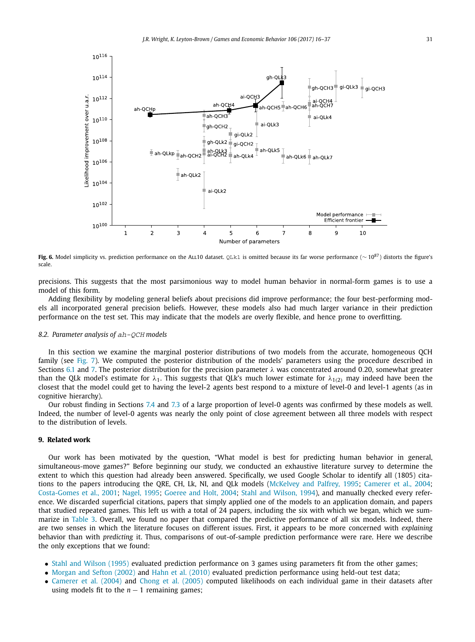<span id="page-15-0"></span>

**Fig. 6.** Model simplicity vs. prediction performance on the ALL10 dataset. QLk1 is omitted because its far worse performance (~ 10<sup>87</sup>) distorts the figure's scale.

precisions. This suggests that the most parsimonious way to model human behavior in normal-form games is to use a model of this form.

Adding flexibility by modeling general beliefs about precisions did improve performance; the four best-performing models all incorporated general precision beliefs. However, these models also had much larger variance in their prediction performance on the test set. This may indicate that the models are overly flexible, and hence prone to overfitting.

#### *8.2. Parameter analysis of* ah-QCH *models*

In this section we examine the marginal posterior distributions of two models from the accurate, homogeneous QCH family (see [Fig. 7\)](#page-16-0). We computed the posterior distribution of the models' parameters using the procedure described in Sections [6.1](#page-10-0) and [7.](#page-10-0) The posterior distribution for the precision parameter *λ* was concentrated around 0*.*20, somewhat greater than the QLk model's estimate for  $\lambda_1$ . This suggests that QLk's much lower estimate for  $\lambda_{1(2)}$  may indeed have been the closest that the model could get to having the level-2 agents best respond to a mixture of level-0 and level-1 agents (as in cognitive hierarchy).

Our robust finding in Sections [7.4](#page-12-0) and [7.3](#page-12-0) of a large proportion of level-0 agents was confirmed by these models as well. Indeed, the number of level-0 agents was nearly the only point of close agreement between all three models with respect to the distribution of levels.

#### **9. Related work**

Our work has been motivated by the question, "What model is best for predicting human behavior in general, simultaneous-move games?" Before beginning our study, we conducted an exhaustive literature survey to determine the extent to which this question had already been answered. Specifically, we used Google Scholar to identify all (1805) citations to the papers introducing the QRE, CH, Lk, NI, and QLk models [\(McKelvey](#page-21-0) and Palfrey, 1995; [Camerer](#page-21-0) et al., 2004; [Costa-Gomes](#page-21-0) et al., 2001; [Nagel,](#page-21-0) 1995; [Goeree](#page-21-0) and Holt, 2004; Stahl and [Wilson,](#page-21-0) 1994), and manually checked every reference. We discarded superficial citations, papers that simply applied one of the models to an application domain, and papers that studied repeated games. This left us with a total of 24 papers, including the six with which we began, which we summarize in [Table 3.](#page-17-0) Overall, we found no paper that compared the predictive performance of all six models. Indeed, there are two senses in which the literature focuses on different issues. First, it appears to be more concerned with *explaining* behavior than with *predicting* it. Thus, comparisons of out-of-sample prediction performance were rare. Here we describe the only exceptions that we found:

- Stahl and [Wilson](#page-21-0) (1995) evaluated prediction performance on 3 games using parameters fit from the other games;
- [Morgan](#page-21-0) and Sefton (2002) and Hahn et al. [\(2010\)](#page-21-0) evaluated prediction performance using held-out test data;
- [Camerer](#page-21-0) et al. (2004) and Chong et al. [\(2005\)](#page-21-0) computed likelihoods on each individual game in their datasets after using models fit to the  $n - 1$  remaining games;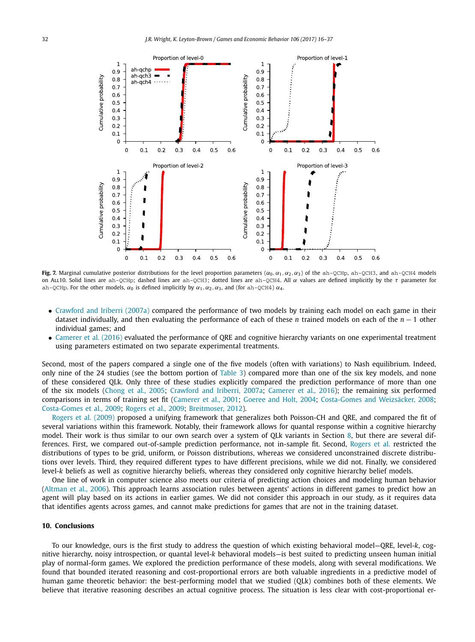<span id="page-16-0"></span>

**Fig. 7.** Marginal cumulative posterior distributions for the level proportion parameters  $(\alpha_0, \alpha_1, \alpha_2, \alpha_3)$  of the ah-QCHp, ah-QCH3, and ah-QCH4 models on All10. Solid lines are ah-QCHp; dashed lines are ah-QCH3; dotted lines are ah-QCH4. All *α* values are defined implicitly by the *τ* parameter for ah-QCHp. For the other models,  $\alpha_0$  is defined implicitly by  $\alpha_1, \alpha_2, \alpha_3$ , and (for ah-QCH4)  $\alpha_4$ .

- [Crawford](#page-21-0) and Iriberri (2007a) compared the performance of two models by training each model on each game in their dataset individually, and then evaluating the performance of each of these *n* trained models on each of the *n* − 1 other individual games; and
- [Camerer](#page-21-0) et al. (2016) evaluated the performance of QRE and cognitive hierarchy variants on one experimental treatment using parameters estimated on two separate experimental treatments.

Second, most of the papers compared a single one of the five models (often with variations) to Nash equilibrium. Indeed, only nine of the 24 studies (see the bottom portion of [Table 3\)](#page-17-0) compared more than one of the six key models, and none of these considered QLk. Only three of these studies explicitly compared the prediction performance of more than one of the six models [\(Chong](#page-21-0) et al., 2005; [Crawford](#page-21-0) and Iriberri, 2007a; [Camerer](#page-21-0) et al., 2016); the remaining six performed comparisons in terms of training set fit [\(Camerer](#page-20-0) et al., 2001; [Goeree](#page-21-0) and Holt, 2004; [Costa-Gomes](#page-21-0) and Weizsäcker, 2008; [Costa-Gomes](#page-21-0) et al., 2009; [Rogers](#page-21-0) et al., 2009; [Breitmoser,](#page-20-0) 2012).

[Rogers](#page-21-0) et al. (2009) proposed a unifying framework that generalizes both Poisson-CH and QRE, and compared the fit of several variations within this framework. Notably, their framework allows for quantal response within a cognitive hierarchy model. Their work is thus similar to our own search over a system of QLk variants in Section [8,](#page-13-0) but there are several differences. First, we compared out-of-sample prediction performance, not in-sample fit. Second, [Rogers](#page-21-0) et al. restricted the distributions of types to be grid, uniform, or Poisson distributions, whereas we considered unconstrained discrete distributions over levels. Third, they required different types to have different precisions, while we did not. Finally, we considered level-*k* beliefs as well as cognitive hierarchy beliefs, whereas they considered only cognitive hierarchy belief models.

One line of work in computer science also meets our criteria of predicting action choices and modeling human behavior [\(Altman](#page-20-0) et al., 2006). This approach learns association rules between agents' actions in different games to predict how an agent will play based on its actions in earlier games. We did not consider this approach in our study, as it requires data that identifies agents across games, and cannot make predictions for games that are not in the training dataset.

#### **10. Conclusions**

To our knowledge, ours is the first study to address the question of which existing behavioral model—QRE, level-*k*, cognitive hierarchy, noisy introspection, or quantal level-*k* behavioral models—is best suited to predicting unseen human initial play of normal-form games. We explored the prediction performance of these models, along with several modifications. We found that bounded iterated reasoning and cost-proportional errors are both valuable ingredients in a predictive model of human game theoretic behavior: the best-performing model that we studied (QLk) combines both of these elements. We believe that iterative reasoning describes an actual cognitive process. The situation is less clear with cost-proportional er-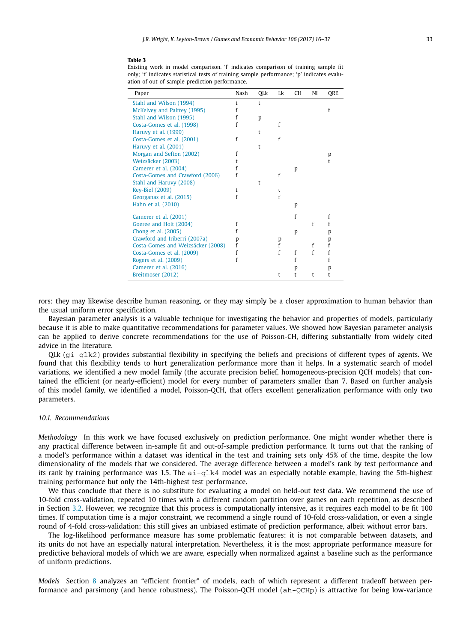#### <span id="page-17-0"></span>**Table 3**

Existing work in model comparison. 'f' indicates comparison of training sample fit only; 't' indicates statistical tests of training sample performance; 'p' indicates evaluation of out-of-sample prediction performance.

| Paper                             | Nash | QLk | Lk | CH | NI | QRE |
|-----------------------------------|------|-----|----|----|----|-----|
| Stahl and Wilson (1994)           | t    | t   |    |    |    |     |
| McKelvey and Palfrey (1995)       |      |     |    |    |    |     |
| Stahl and Wilson (1995)           |      | p   |    |    |    |     |
| Costa-Gomes et al. (1998)         | f    |     | f  |    |    |     |
| Haruvy et al. (1999)              |      | t   |    |    |    |     |
| Costa-Gomes et al. (2001)         |      |     | f  |    |    |     |
| Haruvy et al. (2001)              |      | t   |    |    |    |     |
| Morgan and Sefton (2002)          |      |     |    |    |    | р   |
| Weizsäcker (2003)                 |      |     |    |    |    | t   |
| Camerer et al. (2004)             |      |     |    | р  |    |     |
| Costa-Gomes and Crawford (2006)   | f    |     | f  |    |    |     |
| Stahl and Haruvy (2008)           |      | t   |    |    |    |     |
| <b>Rey-Biel (2009)</b>            | t    |     | t  |    |    |     |
| Georganas et al. (2015)           | f    |     | f  |    |    |     |
| Hahn et al. (2010)                |      |     |    | p  |    |     |
| Camerer et al. (2001)             |      |     |    | f  |    | f   |
| Goeree and Holt (2004)            | f    |     |    |    | f  |     |
| Chong et al. (2005)               |      |     |    | p  |    | p   |
| Crawford and Iriberri (2007a)     | p    |     | p  |    |    | p   |
| Costa-Gomes and Weizsäcker (2008) | f    |     | f  |    | f  | f   |
| Costa-Gomes et al. (2009)         |      |     | f  | f  | f  |     |
| Rogers et al. (2009)              |      |     |    |    |    |     |
| Camerer et al. (2016)             |      |     |    | р  |    | р   |
| Breitmoser (2012)                 |      |     | t  | t  | t  | t   |

rors: they may likewise describe human reasoning, or they may simply be a closer approximation to human behavior than the usual uniform error specification.

Bayesian parameter analysis is a valuable technique for investigating the behavior and properties of models, particularly because it is able to make quantitative recommendations for parameter values. We showed how Bayesian parameter analysis can be applied to derive concrete recommendations for the use of Poisson-CH, differing substantially from widely cited advice in the literature.

OLk  $(qi-q1k2)$  provides substantial flexibility in specifying the beliefs and precisions of different types of agents. We found that this flexibility tends to hurt generalization performance more than it helps. In a systematic search of model variations, we identified a new model family (the accurate precision belief, homogeneous-precision QCH models) that contained the efficient (or nearly-efficient) model for every number of parameters smaller than 7. Based on further analysis of this model family, we identified a model, Poisson-QCH, that offers excellent generalization performance with only two parameters.

#### *10.1. Recommendations*

*Methodology* In this work we have focused exclusively on prediction performance. One might wonder whether there is any practical difference between in-sample fit and out-of-sample prediction performance. It turns out that the ranking of a model's performance within a dataset was identical in the test and training sets only 45% of the time, despite the low dimensionality of the models that we considered. The average difference between a model's rank by test performance and its rank by training performance was 1.5. The  $a\textbf{i}-a\textbf{j}k4$  model was an especially notable example, having the 5th-highest training performance but only the 14th-highest test performance.

We thus conclude that there is no substitute for evaluating a model on held-out test data. We recommend the use of 10-fold cross-validation, repeated 10 times with a different random partition over games on each repetition, as described in Section [3.2.](#page-5-0) However, we recognize that this process is computationally intensive, as it requires each model to be fit 100 times. If computation time is a major constraint, we recommend a single round of 10-fold cross-validation, or even a single round of 4-fold cross-validation; this still gives an unbiased estimate of prediction performance, albeit without error bars.

The log-likelihood performance measure has some problematic features: it is not comparable between datasets, and its units do not have an especially natural interpretation. Nevertheless, it is the most appropriate performance measure for predictive behavioral models of which we are aware, especially when normalized against a baseline such as the performance of uniform predictions.

*Models* Section [8](#page-13-0) analyzes an "efficient frontier" of models, each of which represent a different tradeoff between performance and parsimony (and hence robustness). The Poisson-QCH model (ah-QCHp) is attractive for being low-variance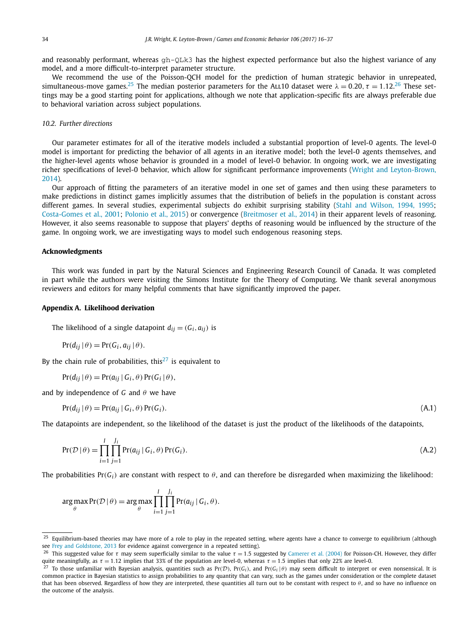<span id="page-18-0"></span>and reasonably performant, whereas gh-QLk3 has the highest expected performance but also the highest variance of any model, and a more difficult-to-interpret parameter structure.

We recommend the use of the Poisson-QCH model for the prediction of human strategic behavior in unrepeated, simultaneous-move games.<sup>25</sup> The median posterior parameters for the ALL10 dataset were  $\lambda = 0.20$ ,  $\tau = 1.12$ .<sup>26</sup> These settings may be a good starting point for applications, although we note that application-specific fits are always preferable due to behavioral variation across subject populations.

#### *10.2. Further directions*

Our parameter estimates for all of the iterative models included a substantial proportion of level-0 agents. The level-0 model is important for predicting the behavior of all agents in an iterative model; both the level-0 agents themselves, and the higher-level agents whose behavior is grounded in a model of level-0 behavior. In ongoing work, we are investigating richer specifications of level-0 behavior, which allow for significant performance improvements (Wright and [Leyton-Brown,](#page-21-0) [2014\)](#page-21-0).

Our approach of fitting the parameters of an iterative model in one set of games and then using these parameters to make predictions in distinct games implicitly assumes that the distribution of beliefs in the population is constant across different games. In several studies, experimental subjects do exhibit surprising stability (Stahl and [Wilson,](#page-21-0) 1994, 1995; [Costa-Gomes](#page-21-0) et al., 2001; [Polonio](#page-21-0) et al., 2015) or convergence [\(Breitmoser](#page-20-0) et al., 2014) in their apparent levels of reasoning. However, it also seems reasonable to suppose that players' depths of reasoning would be influenced by the structure of the game. In ongoing work, we are investigating ways to model such endogenous reasoning steps.

#### **Acknowledgments**

This work was funded in part by the Natural Sciences and Engineering Research Council of Canada. It was completed in part while the authors were visiting the Simons Institute for the Theory of Computing. We thank several anonymous reviewers and editors for many helpful comments that have significantly improved the paper.

#### **Appendix A. Likelihood derivation**

The likelihood of a single datapoint  $d_{ij} = (G_i, a_{ij})$  is

$$
Pr(d_{ij} | \theta) = Pr(G_i, a_{ij} | \theta).
$$

By the chain rule of probabilities, this<sup>27</sup> is equivalent to

$$
Pr(d_{ij} | \theta) = Pr(a_{ij} | G_i, \theta) Pr(G_i | \theta),
$$

and by independence of *G* and *θ* we have

$$
Pr(d_{ij} | \theta) = Pr(a_{ij} | G_i, \theta) Pr(G_i).
$$
\n(A.1)

The datapoints are independent, so the likelihood of the dataset is just the product of the likelihoods of the datapoints,

$$
Pr(\mathcal{D} | \theta) = \prod_{i=1}^{I} \prod_{j=1}^{J_i} Pr(a_{ij} | G_i, \theta) Pr(G_i).
$$
\n(A.2)

The probabilities  $Pr(G_i)$  are constant with respect to  $\theta$ , and can therefore be disregarded when maximizing the likelihood:

$$
\underset{\theta}{\arg \max} \Pr(\mathcal{D} \mid \theta) = \underset{\theta}{\arg \max} \prod_{i=1}^{I} \prod_{j=1}^{J_i} \Pr(a_{ij} \mid G_i, \theta).
$$

Equilibrium-based theories may have more of a role to play in the repeated setting, where agents have a chance to converge to equilibrium (although see Frey and [Goldstone,](#page-21-0) 2013 for evidence against convergence in a repeated setting).

<sup>&</sup>lt;sup>26</sup> This suggested value for *τ* may seem superficially similar to the value  $τ = 1.5$  suggested by [Camerer](#page-21-0) et al. (2004) for Poisson-CH. However, they differ quite meaningfully, as *τ* = 1*.*12 implies that 33% of the population are level-0, whereas *τ* = 1*.*5 implies that only 22% are level-0.

 $^7$  To those unfamiliar with Bayesian analysis, quantities such as  $Pr(D)$ ,  $Pr(G_i)$ , and  $Pr(G_i | \theta)$  may seem difficult to interpret or even nonsensical. It is common practice in Bayesian statistics to assign probabilities to any quantity that can vary, such as the games under consideration or the complete dataset that has been observed. Regardless of how they are interpreted, these quantities all turn out to be constant with respect to θ, and so have no influence on the outcome of the analysis.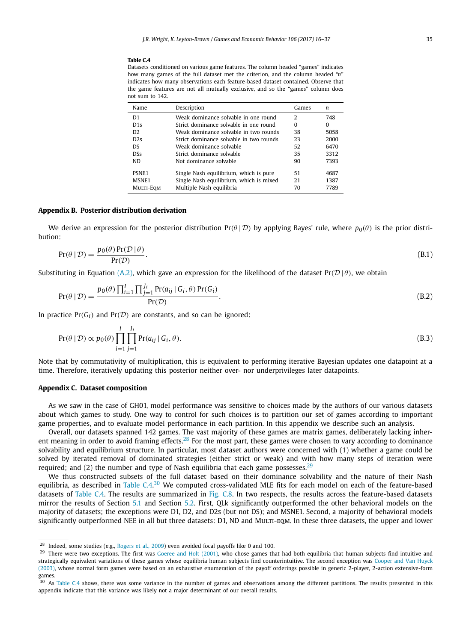#### <span id="page-19-0"></span>**Table C.4**

Datasets conditioned on various game features. The column headed "games" indicates how many games of the full dataset met the criterion, and the column headed "*n*" indicates how many observations each feature-based dataset contained. Observe that the game features are not all mutually exclusive, and so the "games" column does not sum to 142.

| Name           | Description                             | Games         | n        |
|----------------|-----------------------------------------|---------------|----------|
| D <sub>1</sub> | Weak dominance solvable in one round    | $\mathcal{L}$ | 748      |
| D1s            | Strict dominance solvable in one round  | O             | $\Omega$ |
| D <sub>2</sub> | Weak dominance solvable in two rounds   | 38            | 5058     |
| D2s            | Strict dominance solvable in two rounds | 23            | 2000     |
| D.S            | Weak dominance solvable                 | 52            | 6470     |
| <b>DSs</b>     | Strict dominance solvable               | 35            | 3312     |
| ND.            | Not dominance solvable                  | 90            | 7393     |
| PSNE1          | Single Nash equilibrium, which is pure  | 51            | 4687     |
| MSNE1          | Single Nash equilibrium, which is mixed | 21            | 1387     |
| MULTI-EOM      | Multiple Nash equilibria                | 70            | 7789     |

#### **Appendix B. Posterior distribution derivation**

We derive an expression for the posterior distribution  $Pr(\theta | \mathcal{D})$  by applying Bayes' rule, where  $p_0(\theta)$  is the prior distribution:

$$
Pr(\theta | \mathcal{D}) = \frac{p_0(\theta) Pr(\mathcal{D} | \theta)}{Pr(\mathcal{D})}.
$$
\n(B.1)

Substituting in Equation [\(A.2\),](#page-18-0) which gave an expression for the likelihood of the dataset  $Pr(\mathcal{D} | \theta)$ , we obtain

$$
Pr(\theta | \mathcal{D}) = \frac{p_0(\theta) \prod_{i=1}^I \prod_{j=1}^{J_i} Pr(a_{ij} | G_i, \theta) Pr(G_i)}{Pr(\mathcal{D})}.
$$
\n(B.2)

In practice  $Pr(G_i)$  and  $Pr(D)$  are constants, and so can be ignored:

$$
\Pr(\theta \mid \mathcal{D}) \propto p_0(\theta) \prod_{i=1}^{I} \prod_{j=1}^{J_i} \Pr(a_{ij} \mid G_i, \theta).
$$
\n(B.3)

Note that by commutativity of multiplication, this is equivalent to performing iterative Bayesian updates one datapoint at a time. Therefore, iteratively updating this posterior neither over- nor underprivileges later datapoints.

#### **Appendix C. Dataset composition**

As we saw in the case of GH01, model performance was sensitive to choices made by the authors of our various datasets about which games to study. One way to control for such choices is to partition our set of games according to important game properties, and to evaluate model performance in each partition. In this appendix we describe such an analysis.

Overall, our datasets spanned 142 games. The vast majority of these games are matrix games, deliberately lacking inherent meaning in order to avoid framing effects.<sup>28</sup> For the most part, these games were chosen to vary according to dominance solvability and equilibrium structure. In particular, most dataset authors were concerned with (1) whether a game could be solved by iterated removal of dominated strategies (either strict or weak) and with how many steps of iteration were required; and (2) the number and type of Nash equilibria that each game possesses.<sup>29</sup>

We thus constructed subsets of the full dataset based on their dominance solvability and the nature of their Nash equilibria, as described in Table C.4.<sup>30</sup> We computed cross-validated MLE fits for each model on each of the feature-based datasets of Table C.4. The results are summarized in [Fig. C.8.](#page-20-0) In two respects, the results across the feature-based datasets mirror the results of Section [5.1](#page-8-0) and Section [5.2.](#page-8-0) First, QLk significantly outperformed the other behavioral models on the majority of datasets; the exceptions were D1, D2, and D2s (but not DS); and MSNE1. Second, a majority of behavioral models significantly outperformed NEE in all but three datasets: D1, ND and MULTI-EQM. In these three datasets, the upper and lower

<sup>&</sup>lt;sup>28</sup> Indeed, some studies (e.g., [Rogers](#page-21-0) et al., 2009) even avoided focal payoffs like 0 and 100.

 $29$  There were two exceptions. The first was [Goeree](#page-21-0) and Holt (2001), who chose games that had both equilibria that human subjects find intuitive and strategically equivalent variations of these games whose equilibria human subjects find counterintuitive. The second exception was [Cooper](#page-21-0) and Van Huyck [\(2003\),](#page-21-0) whose normal form games were based on an exhaustive enumeration of the payoff orderings possible in generic 2-player, 2-action extensive-form games.

 $30$  As Table C.4 shows, there was some variance in the number of games and observations among the different partitions. The results presented in this appendix indicate that this variance was likely not a major determinant of our overall results.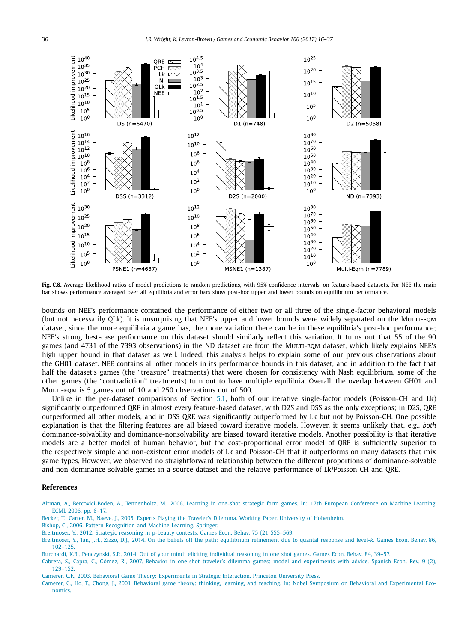<span id="page-20-0"></span>

Fig. C.8. Average likelihood ratios of model predictions to random predictions, with 95% confidence intervals, on feature-based datasets. For NEE the main bar shows performance averaged over all equilibria and error bars show post-hoc upper and lower bounds on equilibrium performance.

bounds on NEE's performance contained the performance of either two or all three of the single-factor behavioral models (but not necessarily QLk). It is unsurprising that NEE's upper and lower bounds were widely separated on the Multi-eqm dataset, since the more equilibria a game has, the more variation there can be in these equilibria's post-hoc performance; NEE's strong best-case performance on this dataset should similarly reflect this variation. It turns out that 55 of the 90 games (and 4731 of the 7393 observations) in the ND dataset are from the MuLTI-EQM dataset, which likely explains NEE's high upper bound in that dataset as well. Indeed, this analysis helps to explain some of our previous observations about the GH01 dataset. NEE contains all other models in its performance bounds in this dataset, and in addition to the fact that half the dataset's games (the "treasure" treatments) that were chosen for consistency with Nash equilibrium, some of the other games (the "contradiction" treatments) turn out to have multiple equilibria. Overall, the overlap between GH01 and MULTI-EQM is 5 games out of 10 and 250 observations out of 500.

Unlike in the per-dataset comparisons of Section [5.1,](#page-8-0) both of our iterative single-factor models (Poisson-CH and Lk) significantly outperformed QRE in almost every feature-based dataset, with D2S and DSS as the only exceptions; in D2S, QRE outperformed all other models, and in DSS QRE was significantly outperformed by Lk but not by Poisson-CH. One possible explanation is that the filtering features are all biased toward iterative models. However, it seems unlikely that, e.g., *both* dominance-solvability and dominance-nonsolvability are biased toward iterative models. Another possibility is that iterative models are a better model of human behavior, but the cost-proportional error model of QRE is sufficiently superior to the respectively simple and non-existent error models of Lk and Poisson-CH that it outperforms on many datasets that mix game types. However, we observed no straightforward relationship between the different proportions of dominance-solvable and non-dominance-solvable games in a source dataset and the relative performance of Lk/Poisson-CH and QRE.

#### **References**

- Altman, A., [Bercovici-Boden,](http://refhub.elsevier.com/S0899-8256(17)30157-4/bib616C746D616E3036s1) A., Tennenholtz, M., 2006. Learning in one-shot strategic form games. In: 17th European Conference on Machine Learning. ECML 2006, [pp. 6–17.](http://refhub.elsevier.com/S0899-8256(17)30157-4/bib616C746D616E3036s1)
- Becker, T., Carter, M., Naeve, J., 2005. Experts Playing the Traveler's Dilemma. Working Paper. University of [Hohenheim.](http://refhub.elsevier.com/S0899-8256(17)30157-4/bib6265636B65723035s1)
- Bishop, C., 2006. Pattern [Recognition](http://refhub.elsevier.com/S0899-8256(17)30157-4/bib626973686F703036s1) and Machine Learning. Springer.
- [Breitmoser,](http://refhub.elsevier.com/S0899-8256(17)30157-4/bib62726569746D6F7365723132s1) Y., 2012. Strategic reasoning in p-beauty contests. Games Econ. Behav. 75 (2), 555–569.
- Breitmoser, Y., Tan, J.H., Zizzo, D.J., 2014. On the beliefs off the path: [equilibrium](http://refhub.elsevier.com/S0899-8256(17)30157-4/bib62726569746D6F7365723134s1) refinement due to quantal response and level-*k*. Games Econ. Behav. 86, [102–125.](http://refhub.elsevier.com/S0899-8256(17)30157-4/bib62726569746D6F7365723134s1)
- Burchardi, K.B., [Penczynski,](http://refhub.elsevier.com/S0899-8256(17)30157-4/bib6275726368617264693134s1) S.P., 2014. Out of your mind: eliciting individual reasoning in one shot games. Games Econ. Behav. 84, 39–57.
- Cabrera, S., Capra, C., Gómez, R., 2007. Behavior in one-shot traveler's dilemma games: model and [experiments](http://refhub.elsevier.com/S0899-8256(17)30157-4/bib636162726572613037s1) with advice. Spanish Econ. Rev. 9 (2), [129–152.](http://refhub.elsevier.com/S0899-8256(17)30157-4/bib636162726572613037s1)
- Camerer, C.F., 2003. Behavioral Game Theory: [Experiments](http://refhub.elsevier.com/S0899-8256(17)30157-4/bib63616D657265723033s1) in Strategic Interaction. Princeton University Press.
- Camerer, C., Ho, T., Chong, J., 2001. Behavioral game theory: thinking, learning, and teaching. In: Nobel Symposium on Behavioral and [Experimental](http://refhub.elsevier.com/S0899-8256(17)30157-4/bib63616D657265723031s1) Eco[nomics.](http://refhub.elsevier.com/S0899-8256(17)30157-4/bib63616D657265723031s1)